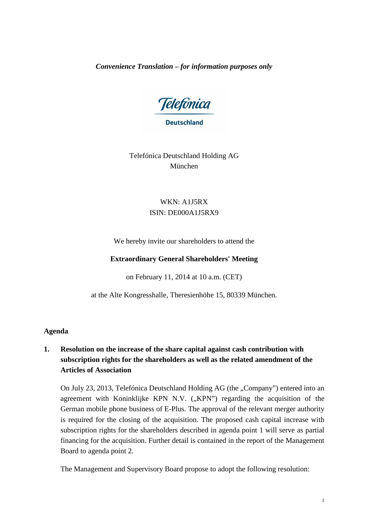*Convenience Translation – for information purposes only* 

Telefônica

**Deutschland** 

Telefónica Deutschland Holding AG München

# WKN: A1J5RX ISIN: DE000A1J5RX9

We hereby invite our shareholders to attend the

# **Extraordinary General Shareholders' Meeting**

on February 11, 2014 at 10 a.m. (CET)

at the Alte Kongresshalle, Theresienhöhe 15, 80339 München.

# **Agenda**

# **1. Resolution on the increase of the share capital against cash contribution with subscription rights for the shareholders as well as the related amendment of the Articles of Association**

On July 23, 2013, Telefónica Deutschland Holding AG (the "Company") entered into an agreement with Koninklijke KPN N.V.  $("KPN")$  regarding the acquisition of the German mobile phone business of E-Plus. The approval of the relevant merger authority is required for the closing of the acquisition. The proposed cash capital increase with subscription rights for the shareholders described in agenda point 1 will serve as partial financing for the acquisition. Further detail is contained in the report of the Management Board to agenda point 2.

The Management and Supervisory Board propose to adopt the following resolution: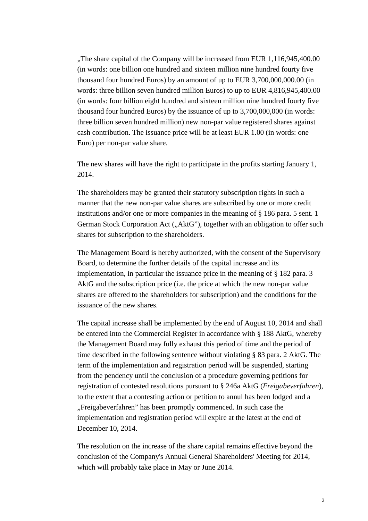"The share capital of the Company will be increased from EUR 1,116,945,400.00" (in words: one billion one hundred and sixteen million nine hundred fourty five thousand four hundred Euros) by an amount of up to EUR 3,700,000,000.00 (in words: three billion seven hundred million Euros) to up to EUR 4,816,945,400.00 (in words: four billion eight hundred and sixteen million nine hundred fourty five thousand four hundred Euros) by the issuance of up to 3,700,000,000 (in words: three billion seven hundred million) new non-par value registered shares against cash contribution. The issuance price will be at least EUR 1.00 (in words: one Euro) per non-par value share.

The new shares will have the right to participate in the profits starting January 1, 2014.

The shareholders may be granted their statutory subscription rights in such a manner that the new non-par value shares are subscribed by one or more credit institutions and/or one or more companies in the meaning of § 186 para. 5 sent. 1 German Stock Corporation Act ("AktG"), together with an obligation to offer such shares for subscription to the shareholders.

The Management Board is hereby authorized, with the consent of the Supervisory Board, to determine the further details of the capital increase and its implementation, in particular the issuance price in the meaning of § 182 para. 3 AktG and the subscription price (i.e. the price at which the new non-par value shares are offered to the shareholders for subscription) and the conditions for the issuance of the new shares.

The capital increase shall be implemented by the end of August 10, 2014 and shall be entered into the Commercial Register in accordance with § 188 AktG, whereby the Management Board may fully exhaust this period of time and the period of time described in the following sentence without violating § 83 para. 2 AktG. The term of the implementation and registration period will be suspended, starting from the pendency until the conclusion of a procedure governing petitions for registration of contested resolutions pursuant to § 246a AktG (*Freigabeverfahren*), to the extent that a contesting action or petition to annul has been lodged and a "Freigabeverfahren" has been promptly commenced. In such case the implementation and registration period will expire at the latest at the end of December 10, 2014.

The resolution on the increase of the share capital remains effective beyond the conclusion of the Company's Annual General Shareholders' Meeting for 2014, which will probably take place in May or June 2014.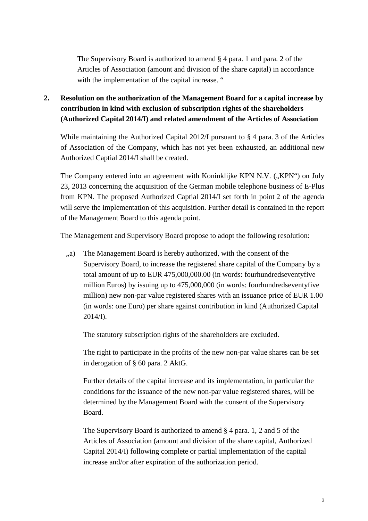The Supervisory Board is authorized to amend § 4 para. 1 and para. 2 of the Articles of Association (amount and division of the share capital) in accordance with the implementation of the capital increase. "

# **2. Resolution on the authorization of the Management Board for a capital increase by contribution in kind with exclusion of subscription rights of the shareholders (Authorized Capital 2014/I) and related amendment of the Articles of Association**

While maintaining the Authorized Capital 2012/I pursuant to § 4 para. 3 of the Articles of Association of the Company, which has not yet been exhausted, an additional new Authorized Captial 2014/I shall be created.

The Company entered into an agreement with Koninklijke KPN N.V. ("KPN") on July 23, 2013 concerning the acquisition of the German mobile telephone business of E-Plus from KPN. The proposed Authorized Captial 2014/I set forth in point 2 of the agenda will serve the implementation of this acquisition. Further detail is contained in the report of the Management Board to this agenda point.

The Management and Supervisory Board propose to adopt the following resolution:

", a) The Management Board is hereby authorized, with the consent of the Supervisory Board, to increase the registered share capital of the Company by a total amount of up to EUR 475,000,000.00 (in words: fourhundredseventyfive million Euros) by issuing up to 475,000,000 (in words: fourhundredseventyfive million) new non-par value registered shares with an issuance price of EUR 1.00 (in words: one Euro) per share against contribution in kind (Authorized Capital 2014/I).

The statutory subscription rights of the shareholders are excluded.

The right to participate in the profits of the new non-par value shares can be set in derogation of § 60 para. 2 AktG.

Further details of the capital increase and its implementation, in particular the conditions for the issuance of the new non-par value registered shares, will be determined by the Management Board with the consent of the Supervisory Board.

The Supervisory Board is authorized to amend § 4 para. 1, 2 and 5 of the Articles of Association (amount and division of the share capital, Authorized Capital 2014/I) following complete or partial implementation of the capital increase and/or after expiration of the authorization period.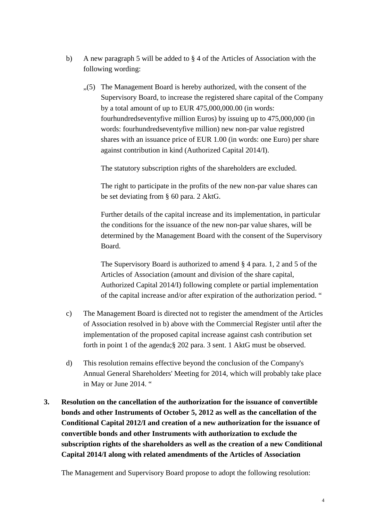- b) A new paragraph 5 will be added to § 4 of the Articles of Association with the following wording:
	- "(5) The Management Board is hereby authorized, with the consent of the Supervisory Board, to increase the registered share capital of the Company by a total amount of up to EUR 475,000,000.00 (in words: fourhundredseventyfive million Euros) by issuing up to 475,000,000 (in words: fourhundredseventyfive million) new non-par value registred shares with an issuance price of EUR 1.00 (in words: one Euro) per share against contribution in kind (Authorized Capital 2014/I).

The statutory subscription rights of the shareholders are excluded.

The right to participate in the profits of the new non-par value shares can be set deviating from § 60 para. 2 AktG.

Further details of the capital increase and its implementation, in particular the conditions for the issuance of the new non-par value shares, will be determined by the Management Board with the consent of the Supervisory Board.

The Supervisory Board is authorized to amend § 4 para. 1, 2 and 5 of the Articles of Association (amount and division of the share capital, Authorized Capital 2014/I) following complete or partial implementation of the capital increase and/or after expiration of the authorization period. "

- c) The Management Board is directed not to register the amendment of the Articles of Association resolved in b) above with the Commercial Register until after the implementation of the proposed capital increase against cash contribution set forth in point 1 of the agenda;§ 202 para. 3 sent. 1 AktG must be observed.
- d) This resolution remains effective beyond the conclusion of the Company's Annual General Shareholders' Meeting for 2014, which will probably take place in May or June 2014. "
- **3. Resolution on the cancellation of the authorization for the issuance of convertible bonds and other Instruments of October 5, 2012 as well as the cancellation of the Conditional Capital 2012/I and creation of a new authorization for the issuance of convertible bonds and other Instruments with authorization to exclude the subscription rights of the shareholders as well as the creation of a new Conditional Capital 2014/I along with related amendments of the Articles of Association**

The Management and Supervisory Board propose to adopt the following resolution: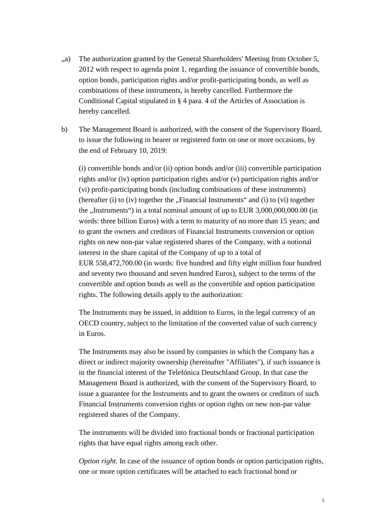- ", a) The authorization granted by the General Shareholders' Meeting from October 5, 2012 with respect to agenda point 1, regarding the issuance of convertible bonds, option bonds, participation rights and/or profit-participating bonds, as well as combinations of these instruments, is hereby cancelled. Furthermore the Conditional Capital stipulated in § 4 para. 4 of the Articles of Association is hereby cancelled.
- b) The Management Board is authorized, with the consent of the Supervisory Board, to issue the following in bearer or registered form on one or more occasions, by the end of February 10, 2019:

(i) convertible bonds and/or (ii) option bonds and/or (iii) convertible participation rights and/or (iv) option participation rights and/or (v) participation rights and/or (vi) profit-participating bonds (including combinations of these instruments) (hereafter  $(i)$  to  $(iv)$  together the  $\sqrt{F}$  Financial Instruments" and  $(i)$  to  $(vi)$  together the  $\mu$ Instruments") in a total nominal amount of up to EUR 3,000,000,000.00 (in words: three billion Euros) with a term to maturity of no more than 15 years; and to grant the owners and creditors of Financial Instruments conversion or option rights on new non-par value registered shares of the Company, with a notional interest in the share capital of the Company of up to a total of EUR 558,472,700.00 (in words: five hundred and fifty eight million four hundred and seventy two thousand and seven hundred Euros), subject to the terms of the convertible and option bonds as well as the convertible and option participation rights. The following details apply to the authorization:

The Instruments may be issued, in addition to Euros, in the legal currency of an OECD country, subject to the limitation of the converted value of such currency in Euros.

The Instruments may also be issued by companies in which the Company has a direct or indirect majority ownership (hereinafter "Affiliates"), if such issuance is in the financial interest of the Telefónica Deutschland Group. In that case the Management Board is authorized, with the consent of the Supervisory Board, to issue a guarantee for the Instruments and to grant the owners or creditors of such Financial Instruments conversion rights or option rights on new non-par value registered shares of the Company.

The instruments will be divided into fractional bonds or fractional participation rights that have equal rights among each other.

*Option right.* In case of the issuance of option bonds or option participation rights, one or more option certificates will be attached to each fractional bond or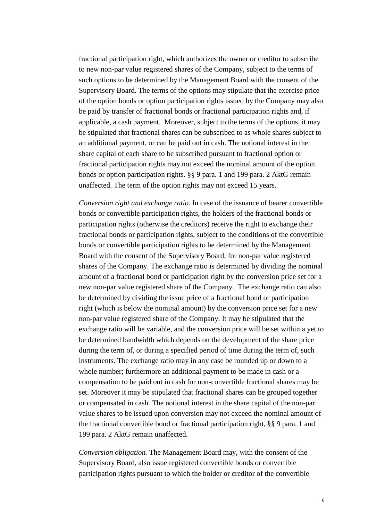fractional participation right, which authorizes the owner or creditor to subscribe to new non-par value registered shares of the Company, subject to the terms of such options to be determined by the Management Board with the consent of the Supervisory Board. The terms of the options may stipulate that the exercise price of the option bonds or option participation rights issued by the Company may also be paid by transfer of fractional bonds or fractional participation rights and, if applicable, a cash payment. Moreover, subject to the terms of the options, it may be stipulated that fractional shares can be subscribed to as whole shares subject to an additional payment, or can be paid out in cash. The notional interest in the share capital of each share to be subscribed pursuant to fractional option or fractional participation rights may not exceed the nominal amount of the option bonds or option participation rights. §§ 9 para. 1 and 199 para. 2 AktG remain unaffected. The term of the option rights may not exceed 15 years.

*Conversion right and exchange ratio.* In case of the issuance of bearer convertible bonds or convertible participation rights, the holders of the fractional bonds or participation rights (otherwise the creditors) receive the right to exchange their fractional bonds or participation rights, subject to the conditions of the convertible bonds or convertible participation rights to be determined by the Management Board with the consent of the Supervisory Board, for non-par value registered shares of the Company. The exchange ratio is determined by dividing the nominal amount of a fractional bond or participation right by the conversion price set for a new non-par value registered share of the Company. The exchange ratio can also be determined by dividing the issue price of a fractional bond or participation right (which is below the nominal amount) by the conversion price set for a new non-par value registered share of the Company. It may be stipulated that the exchange ratio will be variable, and the conversion price will be set within a yet to be determined bandwidth which depends on the development of the share price during the term of, or during a specified period of time during the term of, such instruments. The exchange ratio may in any case be rounded up or down to a whole number; furthermore an additional payment to be made in cash or a compensation to be paid out in cash for non-convertible fractional shares may be set. Moreover it may be stipulated that fractional shares can be grouped together or compensated in cash. The notional interest in the share capital of the non-par value shares to be issued upon conversion may not exceed the nominal amount of the fractional convertible bond or fractional participation right, §§ 9 para. 1 and 199 para. 2 AktG remain unaffected.

*Conversion obligation.* The Management Board may, with the consent of the Supervisory Board, also issue registered convertible bonds or convertible participation rights pursuant to which the holder or creditor of the convertible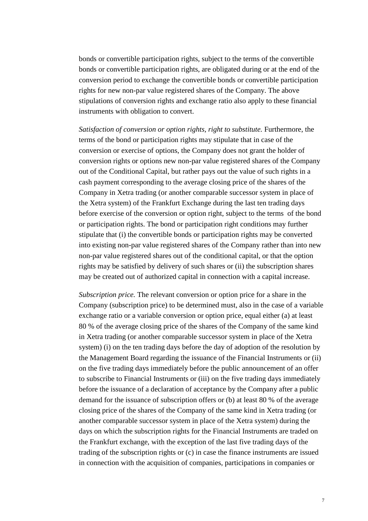bonds or convertible participation rights, subject to the terms of the convertible bonds or convertible participation rights, are obligated during or at the end of the conversion period to exchange the convertible bonds or convertible participation rights for new non-par value registered shares of the Company. The above stipulations of conversion rights and exchange ratio also apply to these financial instruments with obligation to convert.

*Satisfaction of conversion or option rights, right to substitute.* Furthermore, the terms of the bond or participation rights may stipulate that in case of the conversion or exercise of options, the Company does not grant the holder of conversion rights or options new non-par value registered shares of the Company out of the Conditional Capital, but rather pays out the value of such rights in a cash payment corresponding to the average closing price of the shares of the Company in Xetra trading (or another comparable successor system in place of the Xetra system) of the Frankfurt Exchange during the last ten trading days before exercise of the conversion or option right, subject to the terms of the bond or participation rights. The bond or participation right conditions may further stipulate that (i) the convertible bonds or participation rights may be converted into existing non-par value registered shares of the Company rather than into new non-par value registered shares out of the conditional capital, or that the option rights may be satisfied by delivery of such shares or (ii) the subscription shares may be created out of authorized capital in connection with a capital increase.

*Subscription price.* The relevant conversion or option price for a share in the Company (subscription price) to be determined must, also in the case of a variable exchange ratio or a variable conversion or option price, equal either (a) at least 80 % of the average closing price of the shares of the Company of the same kind in Xetra trading (or another comparable successor system in place of the Xetra system) (i) on the ten trading days before the day of adoption of the resolution by the Management Board regarding the issuance of the Financial Instruments or (ii) on the five trading days immediately before the public announcement of an offer to subscribe to Financial Instruments or (iii) on the five trading days immediately before the issuance of a declaration of acceptance by the Company after a public demand for the issuance of subscription offers or (b) at least 80 % of the average closing price of the shares of the Company of the same kind in Xetra trading (or another comparable successor system in place of the Xetra system) during the days on which the subscription rights for the Financial Instruments are traded on the Frankfurt exchange, with the exception of the last five trading days of the trading of the subscription rights or (c) in case the finance instruments are issued in connection with the acquisition of companies, participations in companies or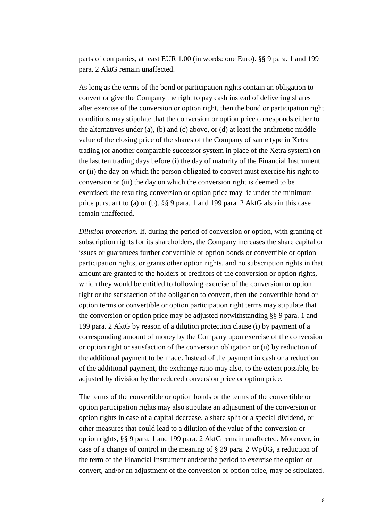parts of companies, at least EUR 1.00 (in words: one Euro). §§ 9 para. 1 and 199 para. 2 AktG remain unaffected.

As long as the terms of the bond or participation rights contain an obligation to convert or give the Company the right to pay cash instead of delivering shares after exercise of the conversion or option right, then the bond or participation right conditions may stipulate that the conversion or option price corresponds either to the alternatives under (a), (b) and (c) above, or (d) at least the arithmetic middle value of the closing price of the shares of the Company of same type in Xetra trading (or another comparable successor system in place of the Xetra system) on the last ten trading days before (i) the day of maturity of the Financial Instrument or (ii) the day on which the person obligated to convert must exercise his right to conversion or (iii) the day on which the conversion right is deemed to be exercised; the resulting conversion or option price may lie under the minimum price pursuant to (a) or (b). §§ 9 para. 1 and 199 para. 2 AktG also in this case remain unaffected.

*Dilution protection.* If, during the period of conversion or option, with granting of subscription rights for its shareholders, the Company increases the share capital or issues or guarantees further convertible or option bonds or convertible or option participation rights, or grants other option rights, and no subscription rights in that amount are granted to the holders or creditors of the conversion or option rights, which they would be entitled to following exercise of the conversion or option right or the satisfaction of the obligation to convert, then the convertible bond or option terms or convertible or option participation right terms may stipulate that the conversion or option price may be adjusted notwithstanding §§ 9 para. 1 and 199 para. 2 AktG by reason of a dilution protection clause (i) by payment of a corresponding amount of money by the Company upon exercise of the conversion or option right or satisfaction of the conversion obligation or (ii) by reduction of the additional payment to be made. Instead of the payment in cash or a reduction of the additional payment, the exchange ratio may also, to the extent possible, be adjusted by division by the reduced conversion price or option price.

The terms of the convertible or option bonds or the terms of the convertible or option participation rights may also stipulate an adjustment of the conversion or option rights in case of a capital decrease, a share split or a special dividend, or other measures that could lead to a dilution of the value of the conversion or option rights, §§ 9 para. 1 and 199 para. 2 AktG remain unaffected. Moreover, in case of a change of control in the meaning of § 29 para. 2 WpÜG, a reduction of the term of the Financial Instrument and/or the period to exercise the option or convert, and/or an adjustment of the conversion or option price, may be stipulated.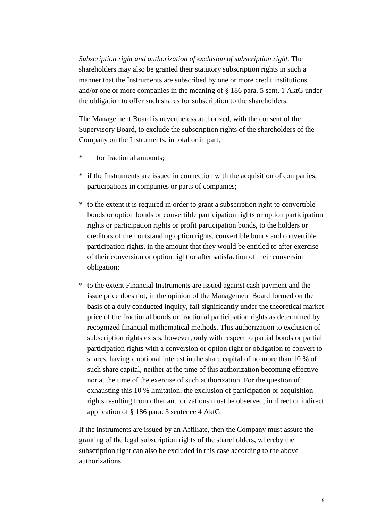*Subscription right and authorization of exclusion of subscription right.* The shareholders may also be granted their statutory subscription rights in such a manner that the Instruments are subscribed by one or more credit institutions and/or one or more companies in the meaning of § 186 para. 5 sent. 1 AktG under the obligation to offer such shares for subscription to the shareholders.

The Management Board is nevertheless authorized, with the consent of the Supervisory Board, to exclude the subscription rights of the shareholders of the Company on the Instruments, in total or in part,

- \* for fractional amounts;
- \* if the Instruments are issued in connection with the acquisition of companies, participations in companies or parts of companies;
- \* to the extent it is required in order to grant a subscription right to convertible bonds or option bonds or convertible participation rights or option participation rights or participation rights or profit participation bonds, to the holders or creditors of then outstanding option rights, convertible bonds and convertible participation rights, in the amount that they would be entitled to after exercise of their conversion or option right or after satisfaction of their conversion obligation;
- \* to the extent Financial Instruments are issued against cash payment and the issue price does not, in the opinion of the Management Board formed on the basis of a duly conducted inquiry, fall significantly under the theoretical market price of the fractional bonds or fractional participation rights as determined by recognized financial mathematical methods. This authorization to exclusion of subscription rights exists, however, only with respect to partial bonds or partial participation rights with a conversion or option right or obligation to convert to shares, having a notional interest in the share capital of no more than 10 % of such share capital, neither at the time of this authorization becoming effective nor at the time of the exercise of such authorization. For the question of exhausting this 10 % limitation, the exclusion of participation or acquisition rights resulting from other authorizations must be observed, in direct or indirect application of § 186 para. 3 sentence 4 AktG.

If the instruments are issued by an Affiliate, then the Company must assure the granting of the legal subscription rights of the shareholders, whereby the subscription right can also be excluded in this case according to the above authorizations.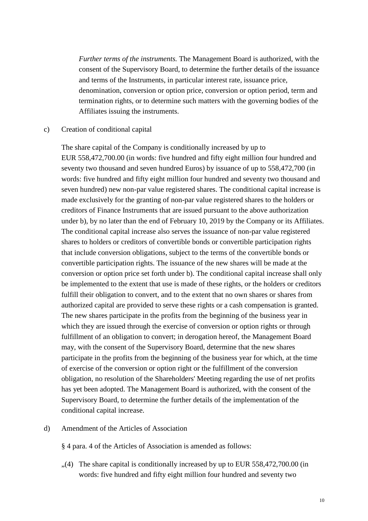*Further terms of the instruments.* The Management Board is authorized, with the consent of the Supervisory Board, to determine the further details of the issuance and terms of the Instruments, in particular interest rate, issuance price, denomination, conversion or option price, conversion or option period, term and termination rights, or to determine such matters with the governing bodies of the Affiliates issuing the instruments.

#### c) Creation of conditional capital

The share capital of the Company is conditionally increased by up to EUR 558,472,700.00 (in words: five hundred and fifty eight million four hundred and seventy two thousand and seven hundred Euros) by issuance of up to 558,472,700 (in words: five hundred and fifty eight million four hundred and seventy two thousand and seven hundred) new non-par value registered shares. The conditional capital increase is made exclusively for the granting of non-par value registered shares to the holders or creditors of Finance Instruments that are issued pursuant to the above authorization under b), by no later than the end of February 10, 2019 by the Company or its Affiliates. The conditional capital increase also serves the issuance of non-par value registered shares to holders or creditors of convertible bonds or convertible participation rights that include conversion obligations, subject to the terms of the convertible bonds or convertible participation rights. The issuance of the new shares will be made at the conversion or option price set forth under b). The conditional capital increase shall only be implemented to the extent that use is made of these rights, or the holders or creditors fulfill their obligation to convert, and to the extent that no own shares or shares from authorized capital are provided to serve these rights or a cash compensation is granted. The new shares participate in the profits from the beginning of the business year in which they are issued through the exercise of conversion or option rights or through fulfillment of an obligation to convert; in derogation hereof, the Management Board may, with the consent of the Supervisory Board, determine that the new shares participate in the profits from the beginning of the business year for which, at the time of exercise of the conversion or option right or the fulfillment of the conversion obligation, no resolution of the Shareholders' Meeting regarding the use of net profits has yet been adopted. The Management Board is authorized, with the consent of the Supervisory Board, to determine the further details of the implementation of the conditional capital increase.

### d) Amendment of the Articles of Association

§ 4 para. 4 of the Articles of Association is amended as follows:

 $(4)$  The share capital is conditionally increased by up to EUR 558,472,700.00 (in words: five hundred and fifty eight million four hundred and seventy two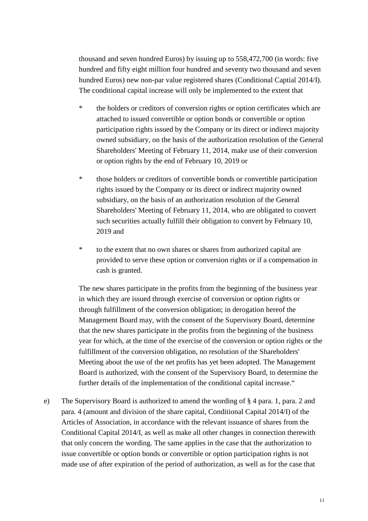thousand and seven hundred Euros) by issuing up to 558,472,700 (in words: five hundred and fifty eight million four hundred and seventy two thousand and seven hundred Euros) new non-par value registered shares (Conditional Captial 2014/I). The conditional capital increase will only be implemented to the extent that

- \* the holders or creditors of conversion rights or option certificates which are attached to issued convertible or option bonds or convertible or option participation rights issued by the Company or its direct or indirect majority owned subsidiary, on the basis of the authorization resolution of the General Shareholders' Meeting of February 11, 2014, make use of their conversion or option rights by the end of February 10, 2019 or
- \* those holders or creditors of convertible bonds or convertible participation rights issued by the Company or its direct or indirect majority owned subsidiary, on the basis of an authorization resolution of the General Shareholders' Meeting of February 11, 2014, who are obligated to convert such securities actually fulfill their obligation to convert by February 10, 2019 and
- \* to the extent that no own shares or shares from authorized capital are provided to serve these option or conversion rights or if a compensation in cash is granted.

The new shares participate in the profits from the beginning of the business year in which they are issued through exercise of conversion or option rights or through fulfillment of the conversion obligation; in derogation hereof the Management Board may, with the consent of the Supervisory Board, determine that the new shares participate in the profits from the beginning of the business year for which, at the time of the exercise of the conversion or option rights or the fulfillment of the conversion obligation, no resolution of the Shareholders' Meeting about the use of the net profits has yet been adopted. The Management Board is authorized, with the consent of the Supervisory Board, to determine the further details of the implementation of the conditional capital increase."

e) The Supervisory Board is authorized to amend the wording of § 4 para. 1, para. 2 and para. 4 (amount and division of the share capital, Conditional Capital 2014/I) of the Articles of Association, in accordance with the relevant issuance of shares from the Conditional Capital 2014/I, as well as make all other changes in connection therewith that only concern the wording. The same applies in the case that the authorization to issue convertible or option bonds or convertible or option participation rights is not made use of after expiration of the period of authorization, as well as for the case that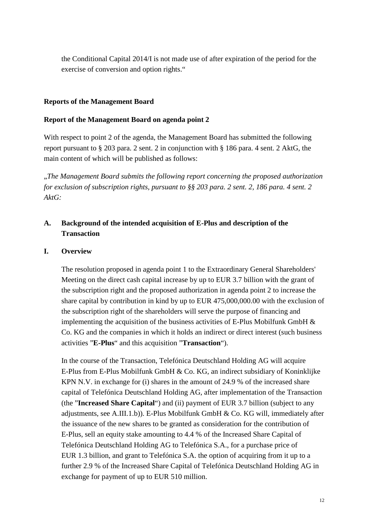the Conditional Capital 2014/I is not made use of after expiration of the period for the exercise of conversion and option rights."

# **Reports of the Management Board**

# **Report of the Management Board on agenda point 2**

With respect to point 2 of the agenda, the Management Board has submitted the following report pursuant to § 203 para. 2 sent. 2 in conjunction with § 186 para. 4 sent. 2 AktG, the main content of which will be published as follows:

"*The Management Board submits the following report concerning the proposed authorization for exclusion of subscription rights, pursuant to §§ 203 para. 2 sent. 2, 186 para. 4 sent. 2 AktG:*

# **A. Background of the intended acquisition of E-Plus and description of the Transaction**

### **I. Overview**

The resolution proposed in agenda point 1 to the Extraordinary General Shareholders' Meeting on the direct cash capital increase by up to EUR 3.7 billion with the grant of the subscription right and the proposed authorization in agenda point 2 to increase the share capital by contribution in kind by up to EUR 475,000,000.00 with the exclusion of the subscription right of the shareholders will serve the purpose of financing and implementing the acquisition of the business activities of E-Plus Mobilfunk GmbH  $\&$ Co. KG and the companies in which it holds an indirect or direct interest (such business activities "**E-Plus**" and this acquisition "**Transaction**").

In the course of the Transaction, Telefónica Deutschland Holding AG will acquire E-Plus from E-Plus Mobilfunk GmbH & Co. KG, an indirect subsidiary of Koninklijke KPN N.V. in exchange for (i) shares in the amount of 24.9 % of the increased share capital of Telefónica Deutschland Holding AG, after implementation of the Transaction (the "**Increased Share Capital**") and (ii) payment of EUR 3.7 billion (subject to any adjustments, see A.III.1.b)). E-Plus Mobilfunk GmbH & Co. KG will, immediately after the issuance of the new shares to be granted as consideration for the contribution of E-Plus, sell an equity stake amounting to 4.4 % of the Increased Share Capital of Telefónica Deutschland Holding AG to Telefónica S.A., for a purchase price of EUR 1.3 billion, and grant to Telefónica S.A. the option of acquiring from it up to a further 2.9 % of the Increased Share Capital of Telefónica Deutschland Holding AG in exchange for payment of up to EUR 510 million.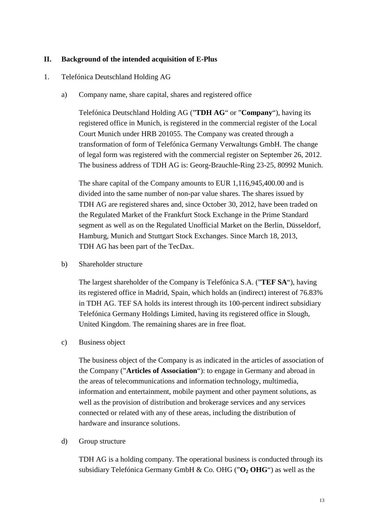# **II. Background of the intended acquisition of E-Plus**

# 1. Telefónica Deutschland Holding AG

a) Company name, share capital, shares and registered office

Telefónica Deutschland Holding AG ("**TDH AG**" or "**Company**"), having its registered office in Munich, is registered in the commercial register of the Local Court Munich under HRB 201055. The Company was created through a transformation of form of Telefónica Germany Verwaltungs GmbH. The change of legal form was registered with the commercial register on September 26, 2012. The business address of TDH AG is: Georg-Brauchle-Ring 23-25, 80992 Munich.

The share capital of the Company amounts to EUR 1,116,945,400.00 and is divided into the same number of non-par value shares. The shares issued by TDH AG are registered shares and, since October 30, 2012, have been traded on the Regulated Market of the Frankfurt Stock Exchange in the Prime Standard segment as well as on the Regulated Unofficial Market on the Berlin, Düsseldorf, Hamburg, Munich and Stuttgart Stock Exchanges. Since March 18, 2013, TDH AG has been part of the TecDax.

b) Shareholder structure

The largest shareholder of the Company is Telefónica S.A. ("**TEF SA**"), having its registered office in Madrid, Spain, which holds an (indirect) interest of 76.83% in TDH AG. TEF SA holds its interest through its 100-percent indirect subsidiary Telefónica Germany Holdings Limited, having its registered office in Slough, United Kingdom. The remaining shares are in free float.

c) Business object

The business object of the Company is as indicated in the articles of association of the Company ("**Articles of Association**"): to engage in Germany and abroad in the areas of telecommunications and information technology, multimedia, information and entertainment, mobile payment and other payment solutions, as well as the provision of distribution and brokerage services and any services connected or related with any of these areas, including the distribution of hardware and insurance solutions.

d) Group structure

TDH AG is a holding company. The operational business is conducted through its subsidiary Telefónica Germany GmbH & Co. OHG ("**O2 OHG**") as well as the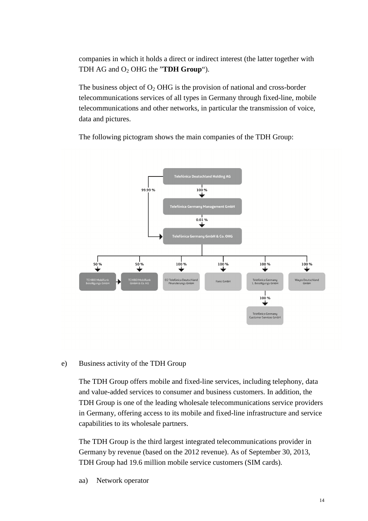companies in which it holds a direct or indirect interest (the latter together with TDH AG and O2 OHG the "**TDH Group**").

The business object of  $O_2$  OHG is the provision of national and cross-border telecommunications services of all types in Germany through fixed-line, mobile telecommunications and other networks, in particular the transmission of voice, data and pictures.

The following pictogram shows the main companies of the TDH Group:



### e) Business activity of the TDH Group

The TDH Group offers mobile and fixed-line services, including telephony, data and value-added services to consumer and business customers. In addition, the TDH Group is one of the leading wholesale telecommunications service providers in Germany, offering access to its mobile and fixed-line infrastructure and service capabilities to its wholesale partners.

The TDH Group is the third largest integrated telecommunications provider in Germany by revenue (based on the 2012 revenue). As of September 30, 2013, TDH Group had 19.6 million mobile service customers (SIM cards).

aa) Network operator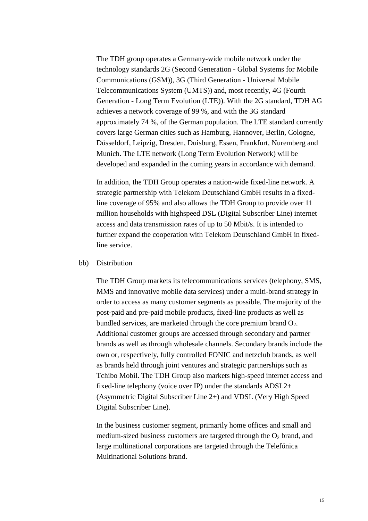The TDH group operates a Germany-wide mobile network under the technology standards 2G (Second Generation - Global Systems for Mobile Communications (GSM)), 3G (Third Generation - Universal Mobile Telecommunications System (UMTS)) and, most recently, 4G (Fourth Generation - Long Term Evolution (LTE)). With the 2G standard, TDH AG achieves a network coverage of 99 %, and with the 3G standard approximately 74 %, of the German population. The LTE standard currently covers large German cities such as Hamburg, Hannover, Berlin, Cologne, Düsseldorf, Leipzig, Dresden, Duisburg, Essen, Frankfurt, Nuremberg and Munich. The LTE network (Long Term Evolution Network) will be developed and expanded in the coming years in accordance with demand.

In addition, the TDH Group operates a nation-wide fixed-line network. A strategic partnership with Telekom Deutschland GmbH results in a fixedline coverage of 95% and also allows the TDH Group to provide over 11 million households with highspeed DSL (Digital Subscriber Line) internet access and data transmission rates of up to 50 Mbit/s. It is intended to further expand the cooperation with Telekom Deutschland GmbH in fixedline service.

#### bb) Distribution

The TDH Group markets its telecommunications services (telephony, SMS, MMS and innovative mobile data services) under a multi-brand strategy in order to access as many customer segments as possible. The majority of the post-paid and pre-paid mobile products, fixed-line products as well as bundled services, are marketed through the core premium brand  $O<sub>2</sub>$ . Additional customer groups are accessed through secondary and partner brands as well as through wholesale channels. Secondary brands include the own or, respectively, fully controlled FONIC and netzclub brands, as well as brands held through joint ventures and strategic partnerships such as Tchibo Mobil. The TDH Group also markets high-speed internet access and fixed-line telephony (voice over IP) under the standards ADSL2+ (Asymmetric Digital Subscriber Line 2+) and VDSL (Very High Speed Digital Subscriber Line).

In the business customer segment, primarily home offices and small and medium-sized business customers are targeted through the  $O<sub>2</sub>$  brand, and large multinational corporations are targeted through the Telefónica Multinational Solutions brand.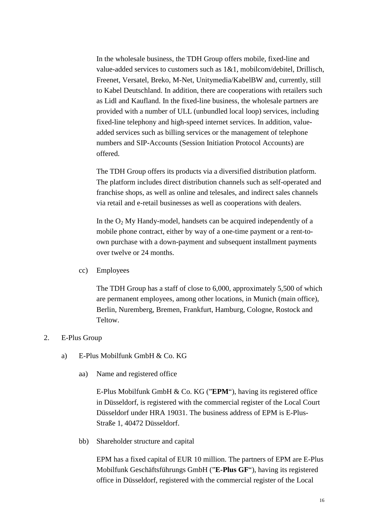In the wholesale business, the TDH Group offers mobile, fixed-line and value-added services to customers such as 1&1, mobilcom/debitel, Drillisch, Freenet, Versatel, Breko, M-Net, Unitymedia/KabelBW and, currently, still to Kabel Deutschland. In addition, there are cooperations with retailers such as Lidl and Kaufland. In the fixed-line business, the wholesale partners are provided with a number of ULL (unbundled local loop) services, including fixed-line telephony and high-speed internet services. In addition, valueadded services such as billing services or the management of telephone numbers and SIP-Accounts (Session Initiation Protocol Accounts) are offered.

The TDH Group offers its products via a diversified distribution platform. The platform includes direct distribution channels such as self-operated and franchise shops, as well as online and telesales, and indirect sales channels via retail and e-retail businesses as well as cooperations with dealers.

In the  $O<sub>2</sub>$  My Handy-model, handsets can be acquired independently of a mobile phone contract, either by way of a one-time payment or a rent-toown purchase with a down-payment and subsequent installment payments over twelve or 24 months.

cc) Employees

The TDH Group has a staff of close to 6,000, approximately 5,500 of which are permanent employees, among other locations, in Munich (main office), Berlin, Nuremberg, Bremen, Frankfurt, Hamburg, Cologne, Rostock and Teltow.

### 2. E-Plus Group

- a) E-Plus Mobilfunk GmbH & Co. KG
	- aa) Name and registered office

E-Plus Mobilfunk GmbH & Co. KG ("**EPM**"), having its registered office in Düsseldorf, is registered with the commercial register of the Local Court Düsseldorf under HRA 19031. The business address of EPM is E-Plus-Straße 1, 40472 Düsseldorf.

bb) Shareholder structure and capital

EPM has a fixed capital of EUR 10 million. The partners of EPM are E-Plus Mobilfunk Geschäftsführungs GmbH ("**E-Plus GF**"), having its registered office in Düsseldorf, registered with the commercial register of the Local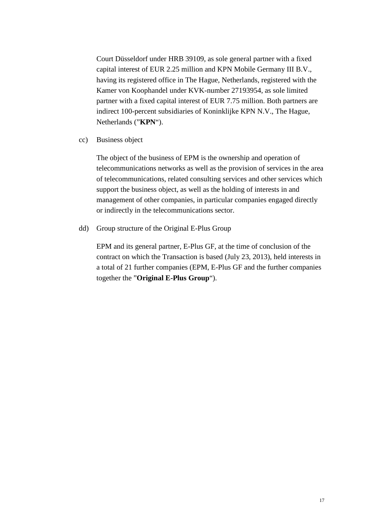Court Düsseldorf under HRB 39109, as sole general partner with a fixed capital interest of EUR 2.25 million and KPN Mobile Germany III B.V., having its registered office in The Hague, Netherlands, registered with the Kamer von Koophandel under KVK-number 27193954, as sole limited partner with a fixed capital interest of EUR 7.75 million. Both partners are indirect 100-percent subsidiaries of Koninklijke KPN N.V., The Hague, Netherlands ("**KPN**").

cc) Business object

The object of the business of EPM is the ownership and operation of telecommunications networks as well as the provision of services in the area of telecommunications, related consulting services and other services which support the business object, as well as the holding of interests in and management of other companies, in particular companies engaged directly or indirectly in the telecommunications sector.

dd) Group structure of the Original E-Plus Group

EPM and its general partner, E-Plus GF, at the time of conclusion of the contract on which the Transaction is based (July 23, 2013), held interests in a total of 21 further companies (EPM, E-Plus GF and the further companies together the "**Original E-Plus Group**").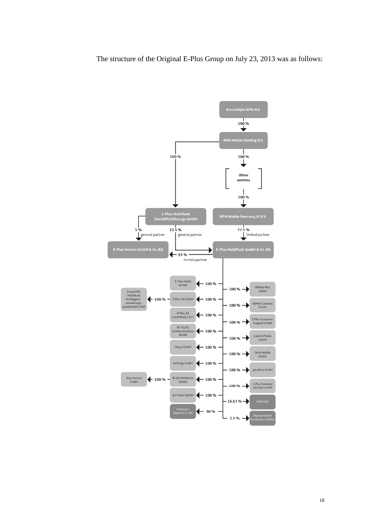The structure of the Original E-Plus Group on July 23, 2013 was as follows:

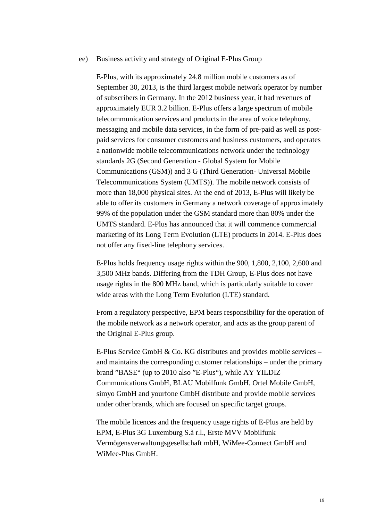#### ee) Business activity and strategy of Original E-Plus Group

E-Plus, with its approximately 24.8 million mobile customers as of September 30, 2013, is the third largest mobile network operator by number of subscribers in Germany. In the 2012 business year, it had revenues of approximately EUR 3.2 billion. E-Plus offers a large spectrum of mobile telecommunication services and products in the area of voice telephony, messaging and mobile data services, in the form of pre-paid as well as postpaid services for consumer customers and business customers, and operates a nationwide mobile telecommunications network under the technology standards 2G (Second Generation - Global System for Mobile Communications (GSM)) and 3 G (Third Generation- Universal Mobile Telecommunications System (UMTS)). The mobile network consists of more than 18,000 physical sites. At the end of 2013, E-Plus will likely be able to offer its customers in Germany a network coverage of approximately 99% of the population under the GSM standard more than 80% under the UMTS standard. E-Plus has announced that it will commence commercial marketing of its Long Term Evolution (LTE) products in 2014. E-Plus does not offer any fixed-line telephony services.

E-Plus holds frequency usage rights within the 900, 1,800, 2,100, 2,600 and 3,500 MHz bands. Differing from the TDH Group, E-Plus does not have usage rights in the 800 MHz band, which is particularly suitable to cover wide areas with the Long Term Evolution (LTE) standard.

From a regulatory perspective, EPM bears responsibility for the operation of the mobile network as a network operator, and acts as the group parent of the Original E-Plus group.

E-Plus Service GmbH & Co. KG distributes and provides mobile services – and maintains the corresponding customer relationships – under the primary brand "BASE" (up to 2010 also "E-Plus"), while AY YILDIZ Communications GmbH, BLAU Mobilfunk GmbH, Ortel Mobile GmbH, simyo GmbH and yourfone GmbH distribute and provide mobile services under other brands, which are focused on specific target groups.

The mobile licences and the frequency usage rights of E-Plus are held by EPM, E-Plus 3G Luxemburg S.à r.l., Erste MVV Mobilfunk Vermögensverwaltungsgesellschaft mbH, WiMee-Connect GmbH and WiMee-Plus GmbH.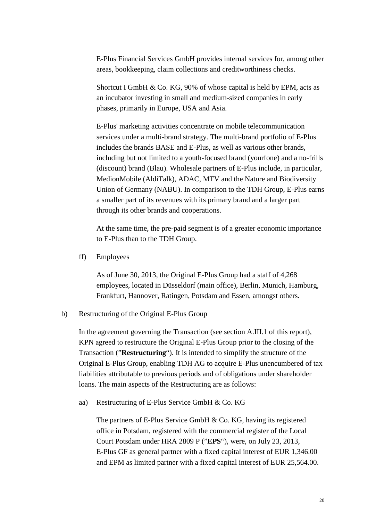E-Plus Financial Services GmbH provides internal services for, among other areas, bookkeeping, claim collections and creditworthiness checks.

Shortcut I GmbH & Co. KG, 90% of whose capital is held by EPM, acts as an incubator investing in small and medium-sized companies in early phases, primarily in Europe, USA and Asia.

E-Plus' marketing activities concentrate on mobile telecommunication services under a multi-brand strategy. The multi-brand portfolio of E-Plus includes the brands BASE and E-Plus, as well as various other brands, including but not limited to a youth-focused brand (yourfone) and a no-frills (discount) brand (Blau). Wholesale partners of E-Plus include, in particular, MedionMobile (AldiTalk), ADAC, MTV and the Nature and Biodiversity Union of Germany (NABU). In comparison to the TDH Group, E-Plus earns a smaller part of its revenues with its primary brand and a larger part through its other brands and cooperations.

At the same time, the pre-paid segment is of a greater economic importance to E-Plus than to the TDH Group.

ff) Employees

As of June 30, 2013, the Original E-Plus Group had a staff of 4,268 employees, located in Düsseldorf (main office), Berlin, Munich, Hamburg, Frankfurt, Hannover, Ratingen, Potsdam and Essen, amongst others.

#### b) Restructuring of the Original E-Plus Group

In the agreement governing the Transaction (see section A.III.1 of this report), KPN agreed to restructure the Original E-Plus Group prior to the closing of the Transaction ("**Restructuring**"). It is intended to simplify the structure of the Original E-Plus Group, enabling TDH AG to acquire E-Plus unencumbered of tax liabilities attributable to previous periods and of obligations under shareholder loans. The main aspects of the Restructuring are as follows:

aa) Restructuring of E-Plus Service GmbH & Co. KG

The partners of E-Plus Service GmbH & Co. KG, having its registered office in Potsdam, registered with the commercial register of the Local Court Potsdam under HRA 2809 P ("**EPS**"), were, on July 23, 2013, E-Plus GF as general partner with a fixed capital interest of EUR 1,346.00 and EPM as limited partner with a fixed capital interest of EUR 25,564.00.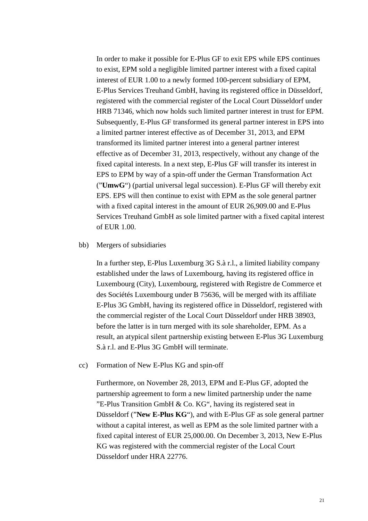In order to make it possible for E-Plus GF to exit EPS while EPS continues to exist, EPM sold a negligible limited partner interest with a fixed capital interest of EUR 1.00 to a newly formed 100-percent subsidiary of EPM, E-Plus Services Treuhand GmbH, having its registered office in Düsseldorf, registered with the commercial register of the Local Court Düsseldorf under HRB 71346, which now holds such limited partner interest in trust for EPM. Subsequently, E-Plus GF transformed its general partner interest in EPS into a limited partner interest effective as of December 31, 2013, and EPM transformed its limited partner interest into a general partner interest effective as of December 31, 2013, respectively, without any change of the fixed capital interests. In a next step, E-Plus GF will transfer its interest in EPS to EPM by way of a spin-off under the German Transformation Act ("**UmwG**") (partial universal legal succession). E-Plus GF will thereby exit EPS. EPS will then continue to exist with EPM as the sole general partner with a fixed capital interest in the amount of EUR 26,909.00 and E-Plus Services Treuhand GmbH as sole limited partner with a fixed capital interest of EUR 1.00.

#### bb) Mergers of subsidiaries

In a further step, E-Plus Luxemburg 3G S.à r.l., a limited liability company established under the laws of Luxembourg, having its registered office in Luxembourg (City), Luxembourg, registered with Registre de Commerce et des Sociétés Luxembourg under B 75636, will be merged with its affiliate E-Plus 3G GmbH, having its registered office in Düsseldorf, registered with the commercial register of the Local Court Düsseldorf under HRB 38903, before the latter is in turn merged with its sole shareholder, EPM. As a result, an atypical silent partnership existing between E-Plus 3G Luxemburg S.à r.l. and E-Plus 3G GmbH will terminate.

cc) Formation of New E-Plus KG and spin-off

Furthermore, on November 28, 2013, EPM and E-Plus GF, adopted the partnership agreement to form a new limited partnership under the name "E-Plus Transition GmbH & Co. KG", having its registered seat in Düsseldorf ("**New E-Plus KG**"), and with E-Plus GF as sole general partner without a capital interest, as well as EPM as the sole limited partner with a fixed capital interest of EUR 25,000.00. On December 3, 2013, New E-Plus KG was registered with the commercial register of the Local Court Düsseldorf under HRA 22776.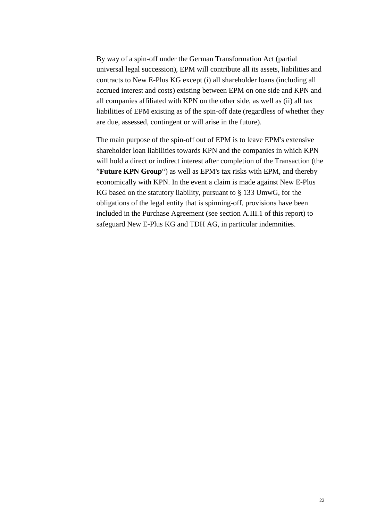By way of a spin-off under the German Transformation Act (partial universal legal succession), EPM will contribute all its assets, liabilities and contracts to New E-Plus KG except (i) all shareholder loans (including all accrued interest and costs) existing between EPM on one side and KPN and all companies affiliated with KPN on the other side, as well as (ii) all tax liabilities of EPM existing as of the spin-off date (regardless of whether they are due, assessed, contingent or will arise in the future).

The main purpose of the spin-off out of EPM is to leave EPM's extensive shareholder loan liabilities towards KPN and the companies in which KPN will hold a direct or indirect interest after completion of the Transaction (the "**Future KPN Group**") as well as EPM's tax risks with EPM, and thereby economically with KPN. In the event a claim is made against New E-Plus KG based on the statutory liability, pursuant to § 133 UmwG, for the obligations of the legal entity that is spinning-off, provisions have been included in the Purchase Agreement (see section A.III.1 of this report) to safeguard New E-Plus KG and TDH AG, in particular indemnities.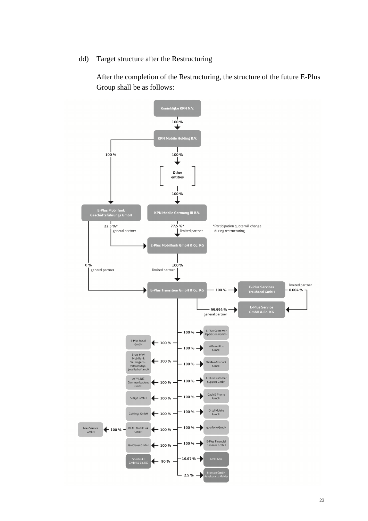dd) Target structure after the Restructuring

After the completion of the Restructuring, the structure of the future E-Plus Group shall be as follows:

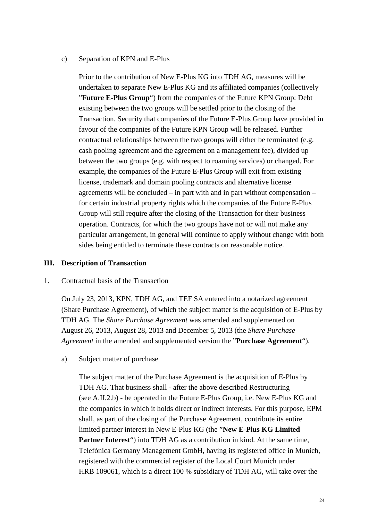### c) Separation of KPN and E-Plus

Prior to the contribution of New E-Plus KG into TDH AG, measures will be undertaken to separate New E-Plus KG and its affiliated companies (collectively "**Future E-Plus Group**") from the companies of the Future KPN Group: Debt existing between the two groups will be settled prior to the closing of the Transaction. Security that companies of the Future E-Plus Group have provided in favour of the companies of the Future KPN Group will be released. Further contractual relationships between the two groups will either be terminated (e.g. cash pooling agreement and the agreement on a management fee), divided up between the two groups (e.g. with respect to roaming services) or changed. For example, the companies of the Future E-Plus Group will exit from existing license, trademark and domain pooling contracts and alternative license agreements will be concluded – in part with and in part without compensation – for certain industrial property rights which the companies of the Future E-Plus Group will still require after the closing of the Transaction for their business operation. Contracts, for which the two groups have not or will not make any particular arrangement, in general will continue to apply without change with both sides being entitled to terminate these contracts on reasonable notice.

## **III. Description of Transaction**

### 1. Contractual basis of the Transaction

On July 23, 2013, KPN, TDH AG, and TEF SA entered into a notarized agreement (Share Purchase Agreement), of which the subject matter is the acquisition of E-Plus by TDH AG. The *Share Purchase Agreement* was amended and supplemented on August 26, 2013, August 28, 2013 and December 5, 2013 (the *Share Purchase Agreement* in the amended and supplemented version the "**Purchase Agreement**").

a) Subject matter of purchase

The subject matter of the Purchase Agreement is the acquisition of E-Plus by TDH AG. That business shall - after the above described Restructuring (see A.II.2.b) - be operated in the Future E-Plus Group, i.e. New E-Plus KG and the companies in which it holds direct or indirect interests. For this purpose, EPM shall, as part of the closing of the Purchase Agreement, contribute its entire limited partner interest in New E-Plus KG (the "**New E-Plus KG Limited Partner Interest**") into TDH AG as a contribution in kind. At the same time, Telefónica Germany Management GmbH, having its registered office in Munich, registered with the commercial register of the Local Court Munich under HRB 109061, which is a direct 100 % subsidiary of TDH AG, will take over the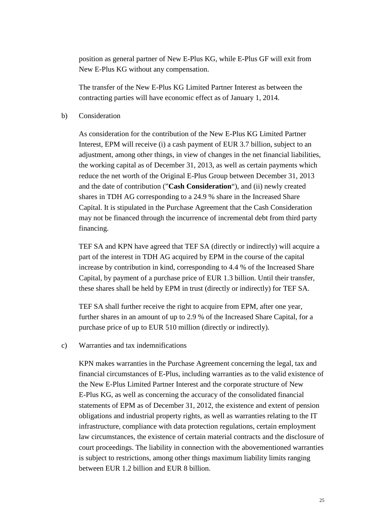position as general partner of New E-Plus KG, while E-Plus GF will exit from New E-Plus KG without any compensation.

The transfer of the New E-Plus KG Limited Partner Interest as between the contracting parties will have economic effect as of January 1, 2014.

### b) Consideration

As consideration for the contribution of the New E-Plus KG Limited Partner Interest, EPM will receive (i) a cash payment of EUR 3.7 billion, subject to an adjustment, among other things, in view of changes in the net financial liabilities, the working capital as of December 31, 2013, as well as certain payments which reduce the net worth of the Original E-Plus Group between December 31, 2013 and the date of contribution ("**Cash Consideration**"), and (ii) newly created shares in TDH AG corresponding to a 24.9 % share in the Increased Share Capital. It is stipulated in the Purchase Agreement that the Cash Consideration may not be financed through the incurrence of incremental debt from third party financing.

TEF SA and KPN have agreed that TEF SA (directly or indirectly) will acquire a part of the interest in TDH AG acquired by EPM in the course of the capital increase by contribution in kind, corresponding to 4.4 % of the Increased Share Capital, by payment of a purchase price of EUR 1.3 billion. Until their transfer, these shares shall be held by EPM in trust (directly or indirectly) for TEF SA.

TEF SA shall further receive the right to acquire from EPM, after one year, further shares in an amount of up to 2.9 % of the Increased Share Capital, for a purchase price of up to EUR 510 million (directly or indirectly).

#### c) Warranties and tax indemnifications

KPN makes warranties in the Purchase Agreement concerning the legal, tax and financial circumstances of E-Plus, including warranties as to the valid existence of the New E-Plus Limited Partner Interest and the corporate structure of New E-Plus KG, as well as concerning the accuracy of the consolidated financial statements of EPM as of December 31, 2012, the existence and extent of pension obligations and industrial property rights, as well as warranties relating to the IT infrastructure, compliance with data protection regulations, certain employment law circumstances, the existence of certain material contracts and the disclosure of court proceedings. The liability in connection with the abovementioned warranties is subject to restrictions, among other things maximum liability limits ranging between EUR 1.2 billion and EUR 8 billion.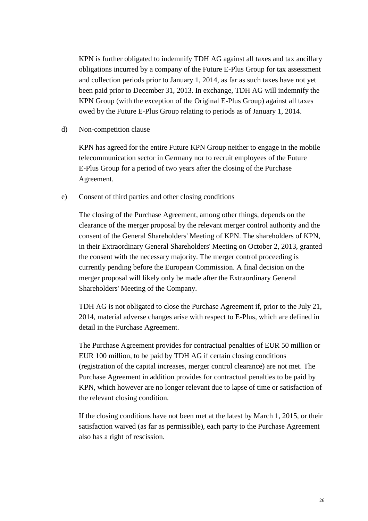KPN is further obligated to indemnify TDH AG against all taxes and tax ancillary obligations incurred by a company of the Future E-Plus Group for tax assessment and collection periods prior to January 1, 2014, as far as such taxes have not yet been paid prior to December 31, 2013. In exchange, TDH AG will indemnify the KPN Group (with the exception of the Original E-Plus Group) against all taxes owed by the Future E-Plus Group relating to periods as of January 1, 2014.

d) Non-competition clause

KPN has agreed for the entire Future KPN Group neither to engage in the mobile telecommunication sector in Germany nor to recruit employees of the Future E-Plus Group for a period of two years after the closing of the Purchase Agreement.

e) Consent of third parties and other closing conditions

The closing of the Purchase Agreement, among other things, depends on the clearance of the merger proposal by the relevant merger control authority and the consent of the General Shareholders' Meeting of KPN. The shareholders of KPN, in their Extraordinary General Shareholders' Meeting on October 2, 2013, granted the consent with the necessary majority. The merger control proceeding is currently pending before the European Commission. A final decision on the merger proposal will likely only be made after the Extraordinary General Shareholders' Meeting of the Company.

TDH AG is not obligated to close the Purchase Agreement if, prior to the July 21, 2014, material adverse changes arise with respect to E-Plus, which are defined in detail in the Purchase Agreement.

The Purchase Agreement provides for contractual penalties of EUR 50 million or EUR 100 million, to be paid by TDH AG if certain closing conditions (registration of the capital increases, merger control clearance) are not met. The Purchase Agreement in addition provides for contractual penalties to be paid by KPN, which however are no longer relevant due to lapse of time or satisfaction of the relevant closing condition.

If the closing conditions have not been met at the latest by March 1, 2015, or their satisfaction waived (as far as permissible), each party to the Purchase Agreement also has a right of rescission.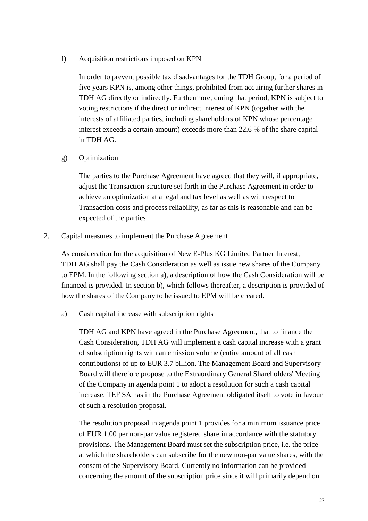f) Acquisition restrictions imposed on KPN

In order to prevent possible tax disadvantages for the TDH Group, for a period of five years KPN is, among other things, prohibited from acquiring further shares in TDH AG directly or indirectly. Furthermore, during that period, KPN is subject to voting restrictions if the direct or indirect interest of KPN (together with the interests of affiliated parties, including shareholders of KPN whose percentage interest exceeds a certain amount) exceeds more than 22.6 % of the share capital in TDH AG.

g) Optimization

The parties to the Purchase Agreement have agreed that they will, if appropriate, adjust the Transaction structure set forth in the Purchase Agreement in order to achieve an optimization at a legal and tax level as well as with respect to Transaction costs and process reliability, as far as this is reasonable and can be expected of the parties.

2. Capital measures to implement the Purchase Agreement

As consideration for the acquisition of New E-Plus KG Limited Partner Interest, TDH AG shall pay the Cash Consideration as well as issue new shares of the Company to EPM. In the following section a), a description of how the Cash Consideration will be financed is provided. In section b), which follows thereafter, a description is provided of how the shares of the Company to be issued to EPM will be created.

a) Cash capital increase with subscription rights

TDH AG and KPN have agreed in the Purchase Agreement, that to finance the Cash Consideration, TDH AG will implement a cash capital increase with a grant of subscription rights with an emission volume (entire amount of all cash contributions) of up to EUR 3.7 billion. The Management Board and Supervisory Board will therefore propose to the Extraordinary General Shareholders' Meeting of the Company in agenda point 1 to adopt a resolution for such a cash capital increase. TEF SA has in the Purchase Agreement obligated itself to vote in favour of such a resolution proposal.

The resolution proposal in agenda point 1 provides for a minimum issuance price of EUR 1.00 per non-par value registered share in accordance with the statutory provisions. The Management Board must set the subscription price, i.e. the price at which the shareholders can subscribe for the new non-par value shares, with the consent of the Supervisory Board. Currently no information can be provided concerning the amount of the subscription price since it will primarily depend on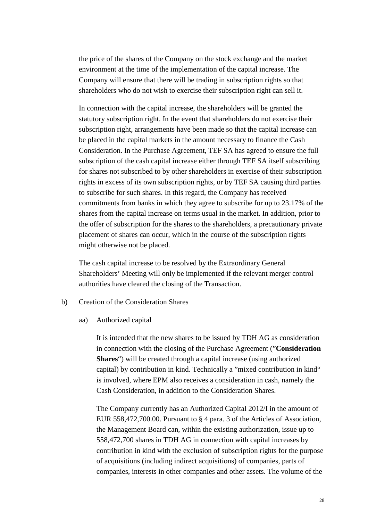the price of the shares of the Company on the stock exchange and the market environment at the time of the implementation of the capital increase. The Company will ensure that there will be trading in subscription rights so that shareholders who do not wish to exercise their subscription right can sell it.

In connection with the capital increase, the shareholders will be granted the statutory subscription right. In the event that shareholders do not exercise their subscription right, arrangements have been made so that the capital increase can be placed in the capital markets in the amount necessary to finance the Cash Consideration. In the Purchase Agreement, TEF SA has agreed to ensure the full subscription of the cash capital increase either through TEF SA itself subscribing for shares not subscribed to by other shareholders in exercise of their subscription rights in excess of its own subscription rights, or by TEF SA causing third parties to subscribe for such shares. In this regard, the Company has received commitments from banks in which they agree to subscribe for up to 23.17% of the shares from the capital increase on terms usual in the market. In addition, prior to the offer of subscription for the shares to the shareholders, a precautionary private placement of shares can occur, which in the course of the subscription rights might otherwise not be placed.

The cash capital increase to be resolved by the Extraordinary General Shareholders' Meeting will only be implemented if the relevant merger control authorities have cleared the closing of the Transaction.

- b) Creation of the Consideration Shares
	- aa) Authorized capital

It is intended that the new shares to be issued by TDH AG as consideration in connection with the closing of the Purchase Agreement ("**Consideration Shares**") will be created through a capital increase (using authorized capital) by contribution in kind. Technically a "mixed contribution in kind" is involved, where EPM also receives a consideration in cash, namely the Cash Consideration, in addition to the Consideration Shares.

The Company currently has an Authorized Capital 2012/I in the amount of EUR 558,472,700.00. Pursuant to § 4 para. 3 of the Articles of Association, the Management Board can, within the existing authorization, issue up to 558,472,700 shares in TDH AG in connection with capital increases by contribution in kind with the exclusion of subscription rights for the purpose of acquisitions (including indirect acquisitions) of companies, parts of companies, interests in other companies and other assets. The volume of the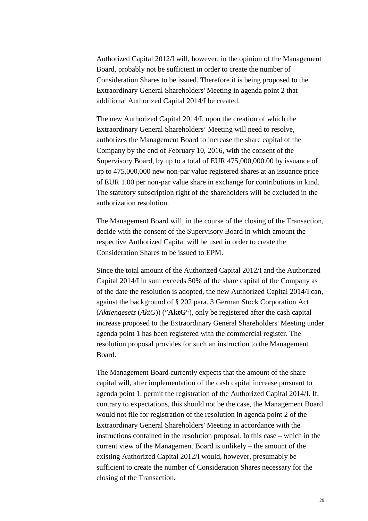Authorized Capital 2012/I will, however, in the opinion of the Management Board, probably not be sufficient in order to create the number of Consideration Shares to be issued. Therefore it is being proposed to the Extraordinary General Shareholders' Meeting in agenda point 2 that additional Authorized Capital 2014/I be created.

The new Authorized Capital 2014/I, upon the creation of which the Extraordinary General Shareholders' Meeting will need to resolve, authorizes the Management Board to increase the share capital of the Company by the end of February 10, 2016, with the consent of the Supervisory Board, by up to a total of EUR 475,000,000.00 by issuance of up to 475,000,000 new non-par value registered shares at an issuance price of EUR 1.00 per non-par value share in exchange for contributions in kind. The statutory subscription right of the shareholders will be excluded in the authorization resolution.

The Management Board will, in the course of the closing of the Transaction, decide with the consent of the Supervisory Board in which amount the respective Authorized Capital will be used in order to create the Consideration Shares to be issued to EPM.

Since the total amount of the Authorized Capital 2012/I and the Authorized Capital 2014/I in sum exceeds 50% of the share capital of the Company as of the date the resolution is adopted, the new Authorized Capital 2014/I can, against the background of § 202 para. 3 German Stock Corporation Act (*Aktiengesetz* (*AktG*)) ("**AktG**"), only be registered after the cash capital increase proposed to the Extraordinary General Shareholders' Meeting under agenda point 1 has been registered with the commercial register. The resolution proposal provides for such an instruction to the Management Board.

The Management Board currently expects that the amount of the share capital will, after implementation of the cash capital increase pursuant to agenda point 1, permit the registration of the Authorized Capital 2014/I. If, contrary to expectations, this should not be the case, the Management Board would not file for registration of the resolution in agenda point 2 of the Extraordinary General Shareholders' Meeting in accordance with the instructions contained in the resolution proposal. In this case – which in the current view of the Management Board is unlikely – the amount of the existing Authorized Capital 2012/I would, however, presumably be sufficient to create the number of Consideration Shares necessary for the closing of the Transaction.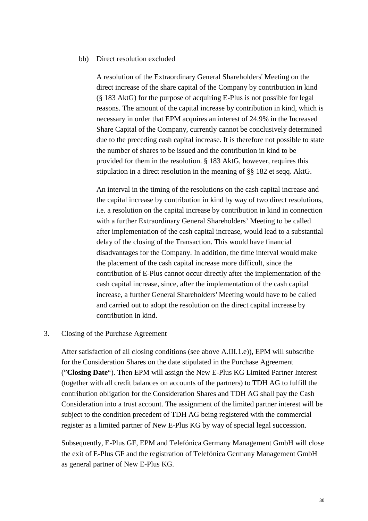#### bb) Direct resolution excluded

A resolution of the Extraordinary General Shareholders' Meeting on the direct increase of the share capital of the Company by contribution in kind (§ 183 AktG) for the purpose of acquiring E-Plus is not possible for legal reasons. The amount of the capital increase by contribution in kind, which is necessary in order that EPM acquires an interest of 24.9% in the Increased Share Capital of the Company, currently cannot be conclusively determined due to the preceding cash capital increase. It is therefore not possible to state the number of shares to be issued and the contribution in kind to be provided for them in the resolution. § 183 AktG, however, requires this stipulation in a direct resolution in the meaning of §§ 182 et seqq. AktG.

An interval in the timing of the resolutions on the cash capital increase and the capital increase by contribution in kind by way of two direct resolutions, i.e. a resolution on the capital increase by contribution in kind in connection with a further Extraordinary General Shareholders' Meeting to be called after implementation of the cash capital increase, would lead to a substantial delay of the closing of the Transaction. This would have financial disadvantages for the Company. In addition, the time interval would make the placement of the cash capital increase more difficult, since the contribution of E-Plus cannot occur directly after the implementation of the cash capital increase, since, after the implementation of the cash capital increase, a further General Shareholders' Meeting would have to be called and carried out to adopt the resolution on the direct capital increase by contribution in kind.

#### 3. Closing of the Purchase Agreement

After satisfaction of all closing conditions (see above A.III.1.e)), EPM will subscribe for the Consideration Shares on the date stipulated in the Purchase Agreement ("**Closing Date**"). Then EPM will assign the New E-Plus KG Limited Partner Interest (together with all credit balances on accounts of the partners) to TDH AG to fulfill the contribution obligation for the Consideration Shares and TDH AG shall pay the Cash Consideration into a trust account. The assignment of the limited partner interest will be subject to the condition precedent of TDH AG being registered with the commercial register as a limited partner of New E-Plus KG by way of special legal succession.

Subsequently, E-Plus GF, EPM and Telefónica Germany Management GmbH will close the exit of E-Plus GF and the registration of Telefónica Germany Management GmbH as general partner of New E-Plus KG.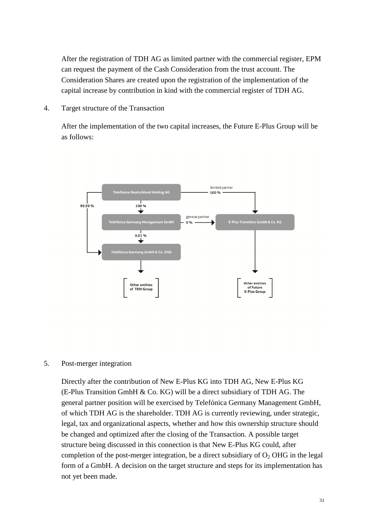After the registration of TDH AG as limited partner with the commercial register, EPM can request the payment of the Cash Consideration from the trust account. The Consideration Shares are created upon the registration of the implementation of the capital increase by contribution in kind with the commercial register of TDH AG.

4. Target structure of the Transaction

After the implementation of the two capital increases, the Future E-Plus Group will be as follows:



#### 5. Post-merger integration

Directly after the contribution of New E-Plus KG into TDH AG, New E-Plus KG (E-Plus Transition GmbH & Co. KG) will be a direct subsidiary of TDH AG. The general partner position will be exercised by Telefónica Germany Management GmbH, of which TDH AG is the shareholder. TDH AG is currently reviewing, under strategic, legal, tax and organizational aspects, whether and how this ownership structure should be changed and optimized after the closing of the Transaction. A possible target structure being discussed in this connection is that New E-Plus KG could, after completion of the post-merger integration, be a direct subsidiary of  $O_2$  OHG in the legal form of a GmbH. A decision on the target structure and steps for its implementation has not yet been made.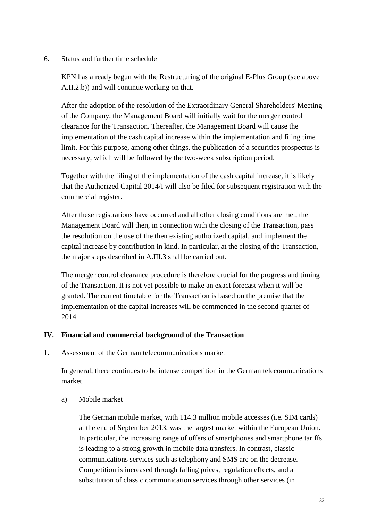# 6. Status and further time schedule

KPN has already begun with the Restructuring of the original E-Plus Group (see above A.II.2.b)) and will continue working on that.

After the adoption of the resolution of the Extraordinary General Shareholders' Meeting of the Company, the Management Board will initially wait for the merger control clearance for the Transaction. Thereafter, the Management Board will cause the implementation of the cash capital increase within the implementation and filing time limit. For this purpose, among other things, the publication of a securities prospectus is necessary, which will be followed by the two-week subscription period.

Together with the filing of the implementation of the cash capital increase, it is likely that the Authorized Capital 2014/I will also be filed for subsequent registration with the commercial register.

After these registrations have occurred and all other closing conditions are met, the Management Board will then, in connection with the closing of the Transaction, pass the resolution on the use of the then existing authorized capital, and implement the capital increase by contribution in kind. In particular, at the closing of the Transaction, the major steps described in A.III.3 shall be carried out.

The merger control clearance procedure is therefore crucial for the progress and timing of the Transaction. It is not yet possible to make an exact forecast when it will be granted. The current timetable for the Transaction is based on the premise that the implementation of the capital increases will be commenced in the second quarter of 2014.

# **IV. Financial and commercial background of the Transaction**

1. Assessment of the German telecommunications market

In general, there continues to be intense competition in the German telecommunications market.

a) Mobile market

The German mobile market, with 114.3 million mobile accesses (i.e. SIM cards) at the end of September 2013, was the largest market within the European Union. In particular, the increasing range of offers of smartphones and smartphone tariffs is leading to a strong growth in mobile data transfers. In contrast, classic communications services such as telephony and SMS are on the decrease. Competition is increased through falling prices, regulation effects, and a substitution of classic communication services through other services (in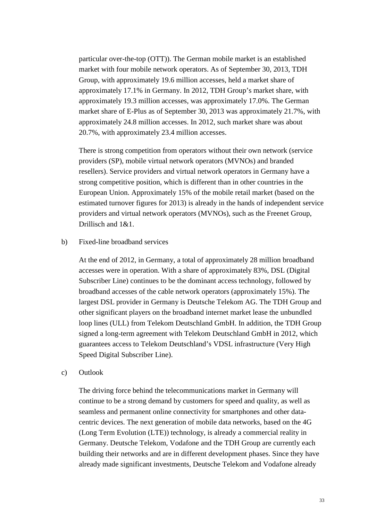particular over-the-top (OTT)). The German mobile market is an established market with four mobile network operators. As of September 30, 2013, TDH Group, with approximately 19.6 million accesses, held a market share of approximately 17.1% in Germany. In 2012, TDH Group's market share, with approximately 19.3 million accesses, was approximately 17.0%. The German market share of E-Plus as of September 30, 2013 was approximately 21.7%, with approximately 24.8 million accesses. In 2012, such market share was about 20.7%, with approximately 23.4 million accesses.

There is strong competition from operators without their own network (service providers (SP), mobile virtual network operators (MVNOs) and branded resellers). Service providers and virtual network operators in Germany have a strong competitive position, which is different than in other countries in the European Union. Approximately 15% of the mobile retail market (based on the estimated turnover figures for 2013) is already in the hands of independent service providers and virtual network operators (MVNOs), such as the Freenet Group, Drillisch and 1&1.

# b) Fixed-line broadband services

At the end of 2012, in Germany, a total of approximately 28 million broadband accesses were in operation. With a share of approximately 83%, DSL (Digital Subscriber Line) continues to be the dominant access technology, followed by broadband accesses of the cable network operators (approximately 15%). The largest DSL provider in Germany is Deutsche Telekom AG. The TDH Group and other significant players on the broadband internet market lease the unbundled loop lines (ULL) from Telekom Deutschland GmbH. In addition, the TDH Group signed a long-term agreement with Telekom Deutschland GmbH in 2012, which guarantees access to Telekom Deutschland's VDSL infrastructure (Very High Speed Digital Subscriber Line).

c) Outlook

The driving force behind the telecommunications market in Germany will continue to be a strong demand by customers for speed and quality, as well as seamless and permanent online connectivity for smartphones and other datacentric devices. The next generation of mobile data networks, based on the 4G (Long Term Evolution (LTE)) technology, is already a commercial reality in Germany. Deutsche Telekom, Vodafone and the TDH Group are currently each building their networks and are in different development phases. Since they have already made significant investments, Deutsche Telekom and Vodafone already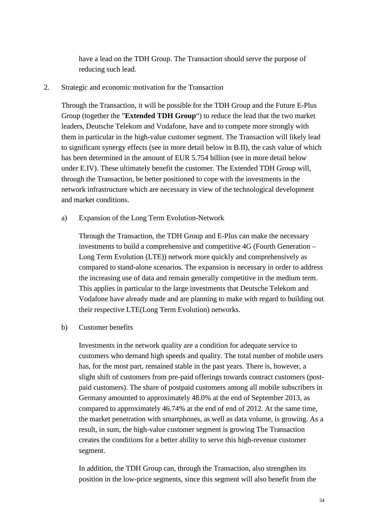have a lead on the TDH Group. The Transaction should serve the purpose of reducing such lead.

# 2. Strategic and economic motivation for the Transaction

Through the Transaction, it will be possible for the TDH Group and the Future E-Plus Group (together the "**Extended TDH Group**") to reduce the lead that the two market leaders, Deutsche Telekom and Vodafone, have and to compete more strongly with them in particular in the high-value customer segment. The Transaction will likely lead to significant synergy effects (see in more detail below in B.II), the cash value of which has been determined in the amount of EUR 5.754 billion (see in more detail below under E.IV). These ultimately benefit the customer. The Extended TDH Group will, through the Transaction, be better positioned to cope with the investments in the network infrastructure which are necessary in view of the technological development and market conditions.

# a) Expansion of the Long Term Evolution-Network

Through the Transaction, the TDH Group and E-Plus can make the necessary investments to build a comprehensive and competitive 4G (Fourth Generation – Long Term Evolution (LTE)) network more quickly and comprehensively as compared to stand-alone scenarios. The expansion is necessary in order to address the increasing use of data and remain generally competitive in the medium term. This applies in particular to the large investments that Deutsche Telekom and Vodafone have already made and are planning to make with regard to building out their respective LTE(Long Term Evolution) networks.

### b) Customer benefits

Investments in the network quality are a condition for adequate service to customers who demand high speeds and quality. The total number of mobile users has, for the most part, remained stable in the past years. There is, however, a slight shift of customers from pre-paid offerings towards contract customers (postpaid customers). The share of postpaid customers among all mobile subscribers in Germany amounted to approximately 48.0% at the end of September 2013, as compared to approximately 46.74% at the end of end of 2012. At the same time, the market penetration with smartphones, as well as data volume, is growing. As a result, in sum, the high-value customer segment is growing The Transaction creates the conditions for a better ability to serve this high-revenue customer segment.

In addition, the TDH Group can, through the Transaction, also strengthen its position in the low-price segments, since this segment will also benefit from the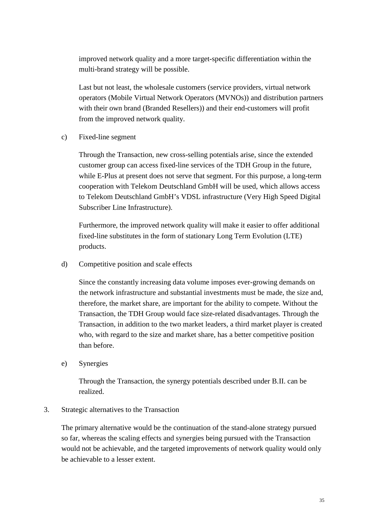improved network quality and a more target-specific differentiation within the multi-brand strategy will be possible.

Last but not least, the wholesale customers (service providers, virtual network operators (Mobile Virtual Network Operators (MVNOs)) and distribution partners with their own brand (Branded Resellers)) and their end-customers will profit from the improved network quality.

c) Fixed-line segment

Through the Transaction, new cross-selling potentials arise, since the extended customer group can access fixed-line services of the TDH Group in the future, while E-Plus at present does not serve that segment. For this purpose, a long-term cooperation with Telekom Deutschland GmbH will be used, which allows access to Telekom Deutschland GmbH's VDSL infrastructure (Very High Speed Digital Subscriber Line Infrastructure).

Furthermore, the improved network quality will make it easier to offer additional fixed-line substitutes in the form of stationary Long Term Evolution (LTE) products.

d) Competitive position and scale effects

Since the constantly increasing data volume imposes ever-growing demands on the network infrastructure and substantial investments must be made, the size and, therefore, the market share, are important for the ability to compete. Without the Transaction, the TDH Group would face size-related disadvantages. Through the Transaction, in addition to the two market leaders, a third market player is created who, with regard to the size and market share, has a better competitive position than before.

e) Synergies

Through the Transaction, the synergy potentials described under B.II. can be realized.

### 3. Strategic alternatives to the Transaction

The primary alternative would be the continuation of the stand-alone strategy pursued so far, whereas the scaling effects and synergies being pursued with the Transaction would not be achievable, and the targeted improvements of network quality would only be achievable to a lesser extent.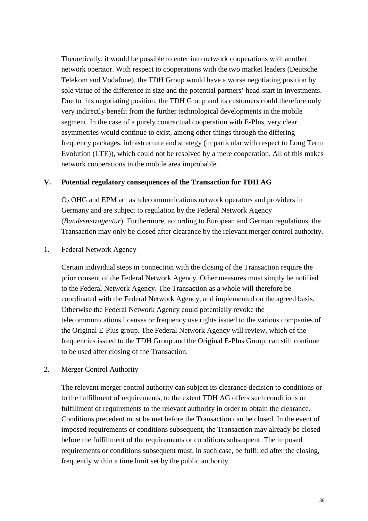Theoretically, it would be possible to enter into network cooperations with another network operator. With respect to cooperations with the two market leaders (Deutsche Telekom and Vodafone), the TDH Group would have a worse negotiating position by sole virtue of the difference in size and the potential partners' head-start in investments. Due to this negotiating position, the TDH Group and its customers could therefore only very indirectly benefit from the further technological developments in the mobile segment. In the case of a purely contractual cooperation with E-Plus, very clear asymmetries would continue to exist, among other things through the differing frequency packages, infrastructure and strategy (in particular with respect to Long Term Evolution (LTE)), which could not be resolved by a mere cooperation. All of this makes network cooperations in the mobile area improbable.

### **V. Potential regulatory consequences of the Transaction for TDH AG**

O2 OHG and EPM act as telecommunications network operators and providers in Germany and are subject to regulation by the Federal Network Agency (*Bundesnetzagentur*). Furthermore, according to European and German regulations, the Transaction may only be closed after clearance by the relevant merger control authority.

### 1. Federal Network Agency

Certain individual steps in connection with the closing of the Transaction require the prior consent of the Federal Network Agency. Other measures must simply be notified to the Federal Network Agency. The Transaction as a whole will therefore be coordinated with the Federal Network Agency, and implemented on the agreed basis. Otherwise the Federal Network Agency could potentially revoke the telecommunications licenses or frequency use rights issued to the various companies of the Original E-Plus group. The Federal Network Agency will review, which of the frequencies issued to the TDH Group and the Original E-Plus Group, can still continue to be used after closing of the Transaction.

# 2. Merger Control Authority

The relevant merger control authority can subject its clearance decision to conditions or to the fulfillment of requirements, to the extent TDH AG offers such conditions or fulfillment of requirements to the relevant authority in order to obtain the clearance. Conditions precedent must be met before the Transaction can be closed. In the event of imposed requirements or conditions subsequent, the Transaction may already be closed before the fulfillment of the requirements or conditions subsequent. The imposed requirements or conditions subsequent must, in such case, be fulfilled after the closing. frequently within a time limit set by the public authority.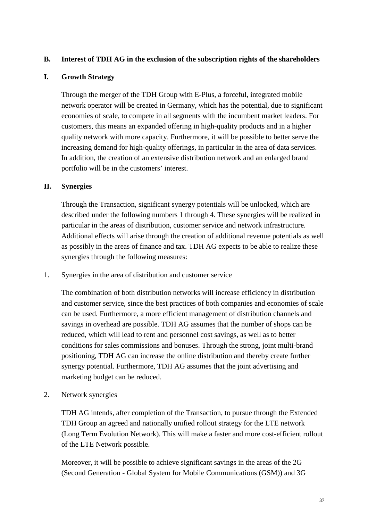# **B. Interest of TDH AG in the exclusion of the subscription rights of the shareholders**

# **I. Growth Strategy**

Through the merger of the TDH Group with E-Plus, a forceful, integrated mobile network operator will be created in Germany, which has the potential, due to significant economies of scale, to compete in all segments with the incumbent market leaders. For customers, this means an expanded offering in high-quality products and in a higher quality network with more capacity. Furthermore, it will be possible to better serve the increasing demand for high-quality offerings, in particular in the area of data services. In addition, the creation of an extensive distribution network and an enlarged brand portfolio will be in the customers' interest.

# **II. Synergies**

Through the Transaction, significant synergy potentials will be unlocked, which are described under the following numbers 1 through 4. These synergies will be realized in particular in the areas of distribution, customer service and network infrastructure. Additional effects will arise through the creation of additional revenue potentials as well as possibly in the areas of finance and tax. TDH AG expects to be able to realize these synergies through the following measures:

1. Synergies in the area of distribution and customer service

The combination of both distribution networks will increase efficiency in distribution and customer service, since the best practices of both companies and economies of scale can be used. Furthermore, a more efficient management of distribution channels and savings in overhead are possible. TDH AG assumes that the number of shops can be reduced, which will lead to rent and personnel cost savings, as well as to better conditions for sales commissions and bonuses. Through the strong, joint multi-brand positioning, TDH AG can increase the online distribution and thereby create further synergy potential. Furthermore, TDH AG assumes that the joint advertising and marketing budget can be reduced.

2. Network synergies

TDH AG intends, after completion of the Transaction, to pursue through the Extended TDH Group an agreed and nationally unified rollout strategy for the LTE network (Long Term Evolution Network). This will make a faster and more cost-efficient rollout of the LTE Network possible.

Moreover, it will be possible to achieve significant savings in the areas of the 2G (Second Generation - Global System for Mobile Communications (GSM)) and 3G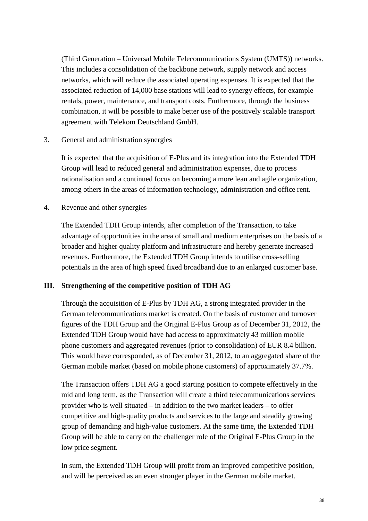(Third Generation – Universal Mobile Telecommunications System (UMTS)) networks. This includes a consolidation of the backbone network, supply network and access networks, which will reduce the associated operating expenses. It is expected that the associated reduction of 14,000 base stations will lead to synergy effects, for example rentals, power, maintenance, and transport costs. Furthermore, through the business combination, it will be possible to make better use of the positively scalable transport agreement with Telekom Deutschland GmbH.

3. General and administration synergies

It is expected that the acquisition of E-Plus and its integration into the Extended TDH Group will lead to reduced general and administration expenses, due to process rationalisation and a continued focus on becoming a more lean and agile organization, among others in the areas of information technology, administration and office rent.

4. Revenue and other synergies

The Extended TDH Group intends, after completion of the Transaction, to take advantage of opportunities in the area of small and medium enterprises on the basis of a broader and higher quality platform and infrastructure and hereby generate increased revenues. Furthermore, the Extended TDH Group intends to utilise cross-selling potentials in the area of high speed fixed broadband due to an enlarged customer base.

# **III. Strengthening of the competitive position of TDH AG**

Through the acquisition of E-Plus by TDH AG, a strong integrated provider in the German telecommunications market is created. On the basis of customer and turnover figures of the TDH Group and the Original E-Plus Group as of December 31, 2012, the Extended TDH Group would have had access to approximately 43 million mobile phone customers and aggregated revenues (prior to consolidation) of EUR 8.4 billion. This would have corresponded, as of December 31, 2012, to an aggregated share of the German mobile market (based on mobile phone customers) of approximately 37.7%.

The Transaction offers TDH AG a good starting position to compete effectively in the mid and long term, as the Transaction will create a third telecommunications services provider who is well situated – in addition to the two market leaders – to offer competitive and high-quality products and services to the large and steadily growing group of demanding and high-value customers. At the same time, the Extended TDH Group will be able to carry on the challenger role of the Original E-Plus Group in the low price segment.

In sum, the Extended TDH Group will profit from an improved competitive position, and will be perceived as an even stronger player in the German mobile market.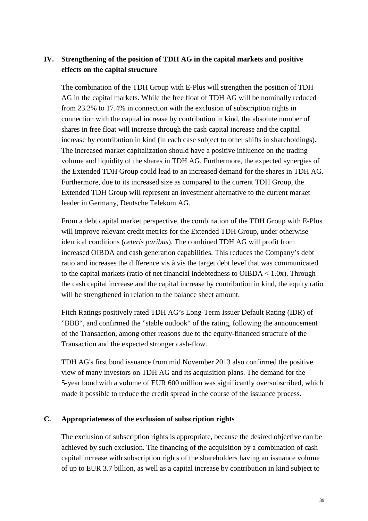# **IV. Strengthening of the position of TDH AG in the capital markets and positive effects on the capital structure**

The combination of the TDH Group with E-Plus will strengthen the position of TDH AG in the capital markets. While the free float of TDH AG will be nominally reduced from 23.2% to 17.4% in connection with the exclusion of subscription rights in connection with the capital increase by contribution in kind, the absolute number of shares in free float will increase through the cash capital increase and the capital increase by contribution in kind (in each case subject to other shifts in shareholdings). The increased market capitalization should have a positive influence on the trading volume and liquidity of the shares in TDH AG. Furthermore, the expected synergies of the Extended TDH Group could lead to an increased demand for the shares in TDH AG. Furthermore, due to its increased size as compared to the current TDH Group, the Extended TDH Group will represent an investment alternative to the current market leader in Germany, Deutsche Telekom AG.

From a debt capital market perspective, the combination of the TDH Group with E-Plus will improve relevant credit metrics for the Extended TDH Group, under otherwise identical conditions (*ceteris paribus*). The combined TDH AG will profit from increased OIBDA and cash generation capabilities. This reduces the Company's debt ratio and increases the difference vis à vis the target debt level that was communicated to the capital markets (ratio of net financial indebtedness to OIBDA  $< 1.0x$ ). Through the cash capital increase and the capital increase by contribution in kind, the equity ratio will be strengthened in relation to the balance sheet amount.

Fitch Ratings positively rated TDH AG's Long-Term Issuer Default Rating (IDR) of "BBB", and confirmed the "stable outlook" of the rating, following the announcement of the Transaction, among other reasons due to the equity-financed structure of the Transaction and the expected stronger cash-flow.

TDH AG's first bond issuance from mid November 2013 also confirmed the positive view of many investors on TDH AG and its acquisition plans. The demand for the 5-year bond with a volume of EUR 600 million was significantly oversubscribed, which made it possible to reduce the credit spread in the course of the issuance process.

# **C. Appropriateness of the exclusion of subscription rights**

The exclusion of subscription rights is appropriate, because the desired objective can be achieved by such exclusion. The financing of the acquisition by a combination of cash capital increase with subscription rights of the shareholders having an issuance volume of up to EUR 3.7 billion, as well as a capital increase by contribution in kind subject to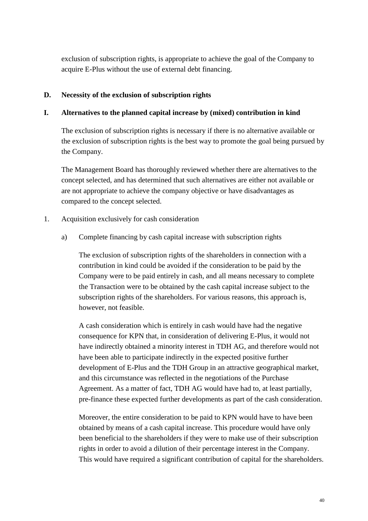exclusion of subscription rights, is appropriate to achieve the goal of the Company to acquire E-Plus without the use of external debt financing.

# **D. Necessity of the exclusion of subscription rights**

# **I. Alternatives to the planned capital increase by (mixed) contribution in kind**

The exclusion of subscription rights is necessary if there is no alternative available or the exclusion of subscription rights is the best way to promote the goal being pursued by the Company.

The Management Board has thoroughly reviewed whether there are alternatives to the concept selected, and has determined that such alternatives are either not available or are not appropriate to achieve the company objective or have disadvantages as compared to the concept selected.

# 1. Acquisition exclusively for cash consideration

a) Complete financing by cash capital increase with subscription rights

The exclusion of subscription rights of the shareholders in connection with a contribution in kind could be avoided if the consideration to be paid by the Company were to be paid entirely in cash, and all means necessary to complete the Transaction were to be obtained by the cash capital increase subject to the subscription rights of the shareholders. For various reasons, this approach is, however, not feasible.

A cash consideration which is entirely in cash would have had the negative consequence for KPN that, in consideration of delivering E-Plus, it would not have indirectly obtained a minority interest in TDH AG, and therefore would not have been able to participate indirectly in the expected positive further development of E-Plus and the TDH Group in an attractive geographical market, and this circumstance was reflected in the negotiations of the Purchase Agreement. As a matter of fact, TDH AG would have had to, at least partially, pre-finance these expected further developments as part of the cash consideration.

Moreover, the entire consideration to be paid to KPN would have to have been obtained by means of a cash capital increase. This procedure would have only been beneficial to the shareholders if they were to make use of their subscription rights in order to avoid a dilution of their percentage interest in the Company. This would have required a significant contribution of capital for the shareholders.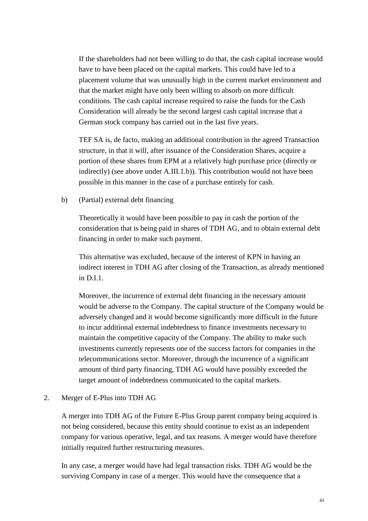If the shareholders had not been willing to do that, the cash capital increase would have to have been placed on the capital markets. This could have led to a placement volume that was unusually high in the current market environment and that the market might have only been willing to absorb on more difficult conditions. The cash capital increase required to raise the funds for the Cash Consideration will already be the second largest cash capital increase that a German stock company has carried out in the last five years.

TEF SA is, de facto, making an additional contribution in the agreed Transaction structure, in that it will, after issuance of the Consideration Shares, acquire a portion of these shares from EPM at a relatively high purchase price (directly or indirectly) (see above under A.III.1.b)). This contribution would not have been possible in this manner in the case of a purchase entirely for cash.

### b) (Partial) external debt financing

Theoretically it would have been possible to pay in cash the portion of the consideration that is being paid in shares of TDH AG, and to obtain external debt financing in order to make such payment.

This alternative was excluded, because of the interest of KPN in having an indirect interest in TDH AG after closing of the Transaction, as already mentioned in D.I.1.

Moreover, the incurrence of external debt financing in the necessary amount would be adverse to the Company. The capital structure of the Company would be adversely changed and it would become significantly more difficult in the future to incur additional external indebtedness to finance investments necessary to maintain the competitive capacity of the Company. The ability to make such investments currently represents one of the success factors for companies in the telecommunications sector. Moreover, through the incurrence of a significant amount of third party financing, TDH AG would have possibly exceeded the target amount of indebtedness communicated to the capital markets.

# 2. Merger of E-Plus into TDH AG

A merger into TDH AG of the Future E-Plus Group parent company being acquired is not being considered, because this entity should continue to exist as an independent company for various operative, legal, and tax reasons. A merger would have therefore initially required further restructuring measures.

In any case, a merger would have had legal transaction risks. TDH AG would be the surviving Company in case of a merger. This would have the consequence that a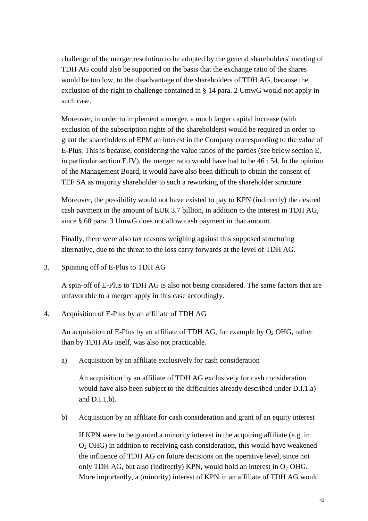challenge of the merger resolution to be adopted by the general shareholders' meeting of TDH AG could also be supported on the basis that the exchange ratio of the shares would be too low, to the disadvantage of the shareholders of TDH AG, because the exclusion of the right to challenge contained in § 14 para. 2 UmwG would not apply in such case.

Moreover, in order to implement a merger, a much larger capital increase (with exclusion of the subscription rights of the shareholders) would be required in order to grant the shareholders of EPM an interest in the Company corresponding to the value of E-Plus. This is because, considering the value ratios of the parties (see below section E, in particular section E.IV), the merger ratio would have had to be 46 : 54. In the opinion of the Management Board, it would have also been difficult to obtain the consent of TEF SA as majority shareholder to such a reworking of the shareholder structure.

Moreover, the possibility would not have existed to pay to KPN (indirectly) the desired cash payment in the amount of EUR 3.7 billion, in addition to the interest in TDH AG, since § 68 para. 3 UmwG does not allow cash payment in that amount.

Finally, there were also tax reasons weighing against this supposed structuring alternative, due to the threat to the loss carry forwards at the level of TDH AG.

3. Spinning off of E-Plus to TDH AG

A spin-off of E-Plus to TDH AG is also not being considered. The same factors that are unfavorable to a merger apply in this case accordingly.

4. Acquisition of E-Plus by an affiliate of TDH AG

An acquisition of E-Plus by an affiliate of TDH AG, for example by  $O_2$  OHG, rather than by TDH AG itself, was also not practicable.

a) Acquisition by an affiliate exclusively for cash consideration

An acquisition by an affiliate of TDH AG exclusively for cash consideration would have also been subject to the difficulties already described under D.I.1.a) and D.I.1.b).

b) Acquisition by an affiliate for cash consideration and grant of an equity interest

If KPN were to be granted a minority interest in the acquiring affiliate (e.g. in  $O<sub>2</sub>$  OHG) in addition to receiving cash consideration, this would have weakened the influence of TDH AG on future decisions on the operative level, since not only TDH AG, but also (indirectly) KPN, would hold an interest in  $O_2$  OHG. More importantly, a (minority) interest of KPN in an affiliate of TDH AG would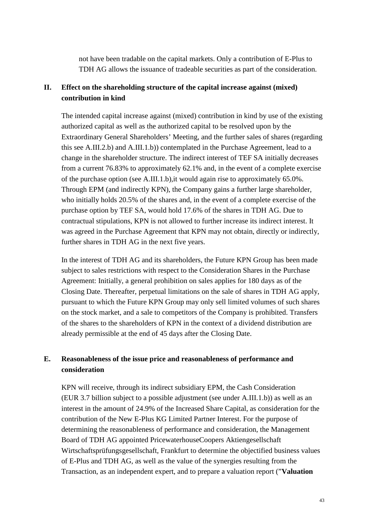not have been tradable on the capital markets. Only a contribution of E-Plus to TDH AG allows the issuance of tradeable securities as part of the consideration.

# **II. Effect on the shareholding structure of the capital increase against (mixed) contribution in kind**

The intended capital increase against (mixed) contribution in kind by use of the existing authorized capital as well as the authorized capital to be resolved upon by the Extraordinary General Shareholders' Meeting, and the further sales of shares (regarding this see A.III.2.b) and A.III.1.b)) contemplated in the Purchase Agreement, lead to a change in the shareholder structure. The indirect interest of TEF SA initially decreases from a current 76.83% to approximately 62.1% and, in the event of a complete exercise of the purchase option (see A.III.1.b),it would again rise to approximately 65.0%. Through EPM (and indirectly KPN), the Company gains a further large shareholder, who initially holds 20.5% of the shares and, in the event of a complete exercise of the purchase option by TEF SA, would hold 17.6% of the shares in TDH AG. Due to contractual stipulations, KPN is not allowed to further increase its indirect interest. It was agreed in the Purchase Agreement that KPN may not obtain, directly or indirectly, further shares in TDH AG in the next five years.

In the interest of TDH AG and its shareholders, the Future KPN Group has been made subject to sales restrictions with respect to the Consideration Shares in the Purchase Agreement: Initially, a general prohibition on sales applies for 180 days as of the Closing Date. Thereafter, perpetual limitations on the sale of shares in TDH AG apply, pursuant to which the Future KPN Group may only sell limited volumes of such shares on the stock market, and a sale to competitors of the Company is prohibited. Transfers of the shares to the shareholders of KPN in the context of a dividend distribution are already permissible at the end of 45 days after the Closing Date.

# **E. Reasonableness of the issue price and reasonableness of performance and consideration**

KPN will receive, through its indirect subsidiary EPM, the Cash Consideration (EUR 3.7 billion subject to a possible adjustment (see under A.III.1.b)) as well as an interest in the amount of 24.9% of the Increased Share Capital, as consideration for the contribution of the New E-Plus KG Limited Partner Interest. For the purpose of determining the reasonableness of performance and consideration, the Management Board of TDH AG appointed PricewaterhouseCoopers Aktiengesellschaft Wirtschaftsprüfungsgesellschaft, Frankfurt to determine the objectified business values of E-Plus and TDH AG, as well as the value of the synergies resulting from the Transaction, as an independent expert, and to prepare a valuation report ("**Valuation**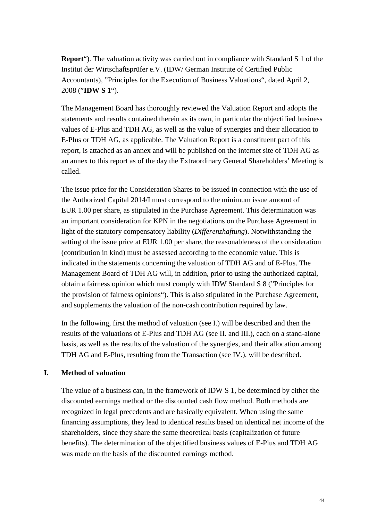**Report**"). The valuation activity was carried out in compliance with Standard S 1 of the Institut der Wirtschaftsprüfer e.V. (IDW/ German Institute of Certified Public Accountants), "Principles for the Execution of Business Valuations", dated April 2, 2008 ("**IDW S 1**").

The Management Board has thoroughly reviewed the Valuation Report and adopts the statements and results contained therein as its own, in particular the objectified business values of E-Plus and TDH AG, as well as the value of synergies and their allocation to E-Plus or TDH AG, as applicable. The Valuation Report is a constituent part of this report, is attached as an annex and will be published on the internet site of TDH AG as an annex to this report as of the day the Extraordinary General Shareholders' Meeting is called.

The issue price for the Consideration Shares to be issued in connection with the use of the Authorized Capital 2014/I must correspond to the minimum issue amount of EUR 1.00 per share, as stipulated in the Purchase Agreement. This determination was an important consideration for KPN in the negotiations on the Purchase Agreement in light of the statutory compensatory liability (*Differenzhaftung*). Notwithstanding the setting of the issue price at EUR 1.00 per share, the reasonableness of the consideration (contribution in kind) must be assessed according to the economic value. This is indicated in the statements concerning the valuation of TDH AG and of E-Plus. The Management Board of TDH AG will, in addition, prior to using the authorized capital, obtain a fairness opinion which must comply with IDW Standard S 8 ("Principles for the provision of fairness opinions"). This is also stipulated in the Purchase Agreement, and supplements the valuation of the non-cash contribution required by law.

In the following, first the method of valuation (see I.) will be described and then the results of the valuations of E-Plus and TDH AG (see II. and III.), each on a stand-alone basis, as well as the results of the valuation of the synergies, and their allocation among TDH AG and E-Plus, resulting from the Transaction (see IV.), will be described.

# **I. Method of valuation**

The value of a business can, in the framework of IDW S 1, be determined by either the discounted earnings method or the discounted cash flow method. Both methods are recognized in legal precedents and are basically equivalent. When using the same financing assumptions, they lead to identical results based on identical net income of the shareholders, since they share the same theoretical basis (capitalization of future benefits). The determination of the objectified business values of E-Plus and TDH AG was made on the basis of the discounted earnings method.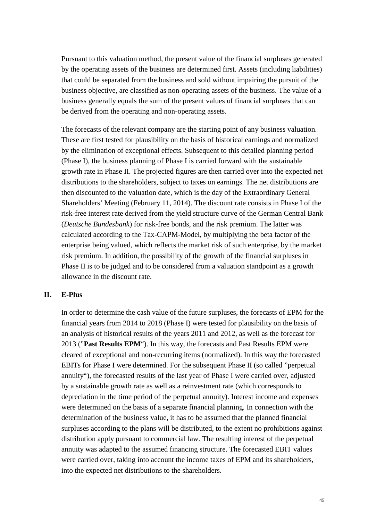Pursuant to this valuation method, the present value of the financial surpluses generated by the operating assets of the business are determined first. Assets (including liabilities) that could be separated from the business and sold without impairing the pursuit of the business objective, are classified as non-operating assets of the business. The value of a business generally equals the sum of the present values of financial surpluses that can be derived from the operating and non-operating assets.

The forecasts of the relevant company are the starting point of any business valuation. These are first tested for plausibility on the basis of historical earnings and normalized by the elimination of exceptional effects. Subsequent to this detailed planning period (Phase I), the business planning of Phase I is carried forward with the sustainable growth rate in Phase II. The projected figures are then carried over into the expected net distributions to the shareholders, subject to taxes on earnings. The net distributions are then discounted to the valuation date, which is the day of the Extraordinary General Shareholders' Meeting (February 11, 2014). The discount rate consists in Phase I of the risk-free interest rate derived from the yield structure curve of the German Central Bank (*Deutsche Bundesbank*) for risk-free bonds, and the risk premium. The latter was calculated according to the Tax-CAPM-Model, by multiplying the beta factor of the enterprise being valued, which reflects the market risk of such enterprise, by the market risk premium. In addition, the possibility of the growth of the financial surpluses in Phase II is to be judged and to be considered from a valuation standpoint as a growth allowance in the discount rate.

### **II. E-Plus**

In order to determine the cash value of the future surpluses, the forecasts of EPM for the financial years from 2014 to 2018 (Phase I) were tested for plausibility on the basis of an analysis of historical results of the years 2011 and 2012, as well as the forecast for 2013 ("**Past Results EPM**"). In this way, the forecasts and Past Results EPM were cleared of exceptional and non-recurring items (normalized). In this way the forecasted EBITs for Phase I were determined. For the subsequent Phase II (so called "perpetual annuity"), the forecasted results of the last year of Phase I were carried over, adjusted by a sustainable growth rate as well as a reinvestment rate (which corresponds to depreciation in the time period of the perpetual annuity). Interest income and expenses were determined on the basis of a separate financial planning. In connection with the determination of the business value, it has to be assumed that the planned financial surpluses according to the plans will be distributed, to the extent no prohibitions against distribution apply pursuant to commercial law. The resulting interest of the perpetual annuity was adapted to the assumed financing structure. The forecasted EBIT values were carried over, taking into account the income taxes of EPM and its shareholders, into the expected net distributions to the shareholders.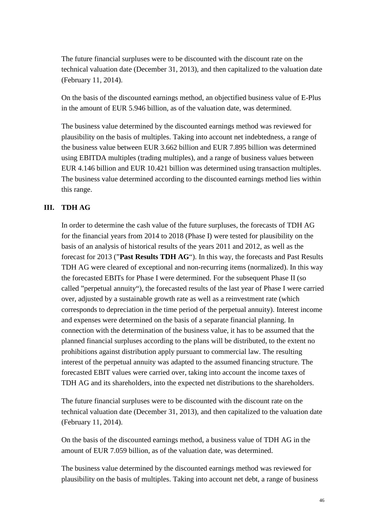The future financial surpluses were to be discounted with the discount rate on the technical valuation date (December 31, 2013), and then capitalized to the valuation date (February 11, 2014).

On the basis of the discounted earnings method, an objectified business value of E-Plus in the amount of EUR 5.946 billion, as of the valuation date, was determined.

The business value determined by the discounted earnings method was reviewed for plausibility on the basis of multiples. Taking into account net indebtedness, a range of the business value between EUR 3.662 billion and EUR 7.895 billion was determined using EBITDA multiples (trading multiples), and a range of business values between EUR 4.146 billion and EUR 10.421 billion was determined using transaction multiples. The business value determined according to the discounted earnings method lies within this range.

# **III. TDH AG**

In order to determine the cash value of the future surpluses, the forecasts of TDH AG for the financial years from 2014 to 2018 (Phase I) were tested for plausibility on the basis of an analysis of historical results of the years 2011 and 2012, as well as the forecast for 2013 ("**Past Results TDH AG**"). In this way, the forecasts and Past Results TDH AG were cleared of exceptional and non-recurring items (normalized). In this way the forecasted EBITs for Phase I were determined. For the subsequent Phase II (so called "perpetual annuity"), the forecasted results of the last year of Phase I were carried over, adjusted by a sustainable growth rate as well as a reinvestment rate (which corresponds to depreciation in the time period of the perpetual annuity). Interest income and expenses were determined on the basis of a separate financial planning. In connection with the determination of the business value, it has to be assumed that the planned financial surpluses according to the plans will be distributed, to the extent no prohibitions against distribution apply pursuant to commercial law. The resulting interest of the perpetual annuity was adapted to the assumed financing structure. The forecasted EBIT values were carried over, taking into account the income taxes of TDH AG and its shareholders, into the expected net distributions to the shareholders.

The future financial surpluses were to be discounted with the discount rate on the technical valuation date (December 31, 2013), and then capitalized to the valuation date (February 11, 2014).

On the basis of the discounted earnings method, a business value of TDH AG in the amount of EUR 7.059 billion, as of the valuation date, was determined.

The business value determined by the discounted earnings method was reviewed for plausibility on the basis of multiples. Taking into account net debt, a range of business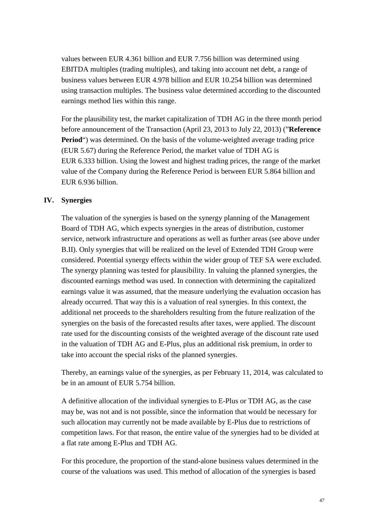values between EUR 4.361 billion and EUR 7.756 billion was determined using EBITDA multiples (trading multiples), and taking into account net debt, a range of business values between EUR 4.978 billion and EUR 10.254 billion was determined using transaction multiples. The business value determined according to the discounted earnings method lies within this range.

For the plausibility test, the market capitalization of TDH AG in the three month period before announcement of the Transaction (April 23, 2013 to July 22, 2013) ("**Reference Period**") was determined. On the basis of the volume-weighted average trading price (EUR 5.67) during the Reference Period, the market value of TDH AG is EUR 6.333 billion. Using the lowest and highest trading prices, the range of the market value of the Company during the Reference Period is between EUR 5.864 billion and EUR 6.936 billion.

# **IV. Synergies**

The valuation of the synergies is based on the synergy planning of the Management Board of TDH AG, which expects synergies in the areas of distribution, customer service, network infrastructure and operations as well as further areas (see above under B.II). Only synergies that will be realized on the level of Extended TDH Group were considered. Potential synergy effects within the wider group of TEF SA were excluded. The synergy planning was tested for plausibility. In valuing the planned synergies, the discounted earnings method was used. In connection with determining the capitalized earnings value it was assumed, that the measure underlying the evaluation occasion has already occurred. That way this is a valuation of real synergies. In this context, the additional net proceeds to the shareholders resulting from the future realization of the synergies on the basis of the forecasted results after taxes, were applied. The discount rate used for the discounting consists of the weighted average of the discount rate used in the valuation of TDH AG and E-Plus, plus an additional risk premium, in order to take into account the special risks of the planned synergies.

Thereby, an earnings value of the synergies, as per February 11, 2014, was calculated to be in an amount of EUR 5.754 billion.

A definitive allocation of the individual synergies to E-Plus or TDH AG, as the case may be, was not and is not possible, since the information that would be necessary for such allocation may currently not be made available by E-Plus due to restrictions of competition laws. For that reason, the entire value of the synergies had to be divided at a flat rate among E-Plus and TDH AG.

For this procedure, the proportion of the stand-alone business values determined in the course of the valuations was used. This method of allocation of the synergies is based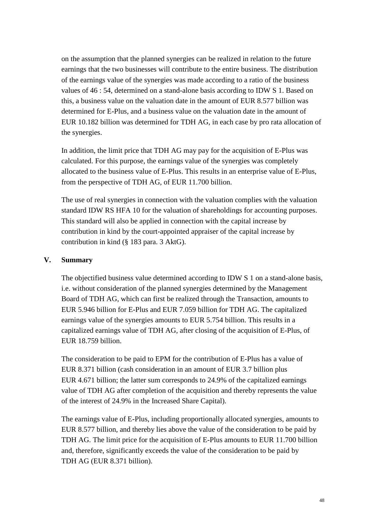on the assumption that the planned synergies can be realized in relation to the future earnings that the two businesses will contribute to the entire business. The distribution of the earnings value of the synergies was made according to a ratio of the business values of 46 : 54, determined on a stand-alone basis according to IDW S 1. Based on this, a business value on the valuation date in the amount of EUR 8.577 billion was determined for E-Plus, and a business value on the valuation date in the amount of EUR 10.182 billion was determined for TDH AG, in each case by pro rata allocation of the synergies.

In addition, the limit price that TDH AG may pay for the acquisition of E-Plus was calculated. For this purpose, the earnings value of the synergies was completely allocated to the business value of E-Plus. This results in an enterprise value of E-Plus, from the perspective of TDH AG, of EUR 11.700 billion.

The use of real synergies in connection with the valuation complies with the valuation standard IDW RS HFA 10 for the valuation of shareholdings for accounting purposes. This standard will also be applied in connection with the capital increase by contribution in kind by the court-appointed appraiser of the capital increase by contribution in kind (§ 183 para. 3 AktG).

# **V. Summary**

The objectified business value determined according to IDW S 1 on a stand-alone basis, i.e. without consideration of the planned synergies determined by the Management Board of TDH AG, which can first be realized through the Transaction, amounts to EUR 5.946 billion for E-Plus and EUR 7.059 billion for TDH AG. The capitalized earnings value of the synergies amounts to EUR 5.754 billion. This results in a capitalized earnings value of TDH AG, after closing of the acquisition of E-Plus, of EUR 18.759 billion.

The consideration to be paid to EPM for the contribution of E-Plus has a value of EUR 8.371 billion (cash consideration in an amount of EUR 3.7 billion plus EUR 4.671 billion; the latter sum corresponds to 24.9% of the capitalized earnings value of TDH AG after completion of the acquisition and thereby represents the value of the interest of 24.9% in the Increased Share Capital).

The earnings value of E-Plus, including proportionally allocated synergies, amounts to EUR 8.577 billion, and thereby lies above the value of the consideration to be paid by TDH AG. The limit price for the acquisition of E-Plus amounts to EUR 11.700 billion and, therefore, significantly exceeds the value of the consideration to be paid by TDH AG (EUR 8.371 billion).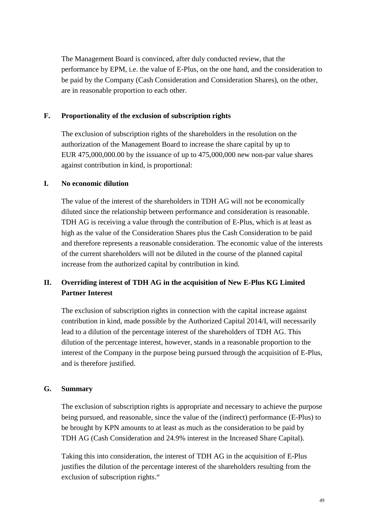The Management Board is convinced, after duly conducted review, that the performance by EPM, i.e. the value of E-Plus, on the one hand, and the consideration to be paid by the Company (Cash Consideration and Consideration Shares), on the other, are in reasonable proportion to each other.

# **F. Proportionality of the exclusion of subscription rights**

The exclusion of subscription rights of the shareholders in the resolution on the authorization of the Management Board to increase the share capital by up to EUR 475,000,000.00 by the issuance of up to 475,000,000 new non-par value shares against contribution in kind, is proportional:

# **I. No economic dilution**

The value of the interest of the shareholders in TDH AG will not be economically diluted since the relationship between performance and consideration is reasonable. TDH AG is receiving a value through the contribution of E-Plus, which is at least as high as the value of the Consideration Shares plus the Cash Consideration to be paid and therefore represents a reasonable consideration. The economic value of the interests of the current shareholders will not be diluted in the course of the planned capital increase from the authorized capital by contribution in kind.

# **II. Overriding interest of TDH AG in the acquisition of New E-Plus KG Limited Partner Interest**

The exclusion of subscription rights in connection with the capital increase against contribution in kind, made possible by the Authorized Capital 2014/I, will necessarily lead to a dilution of the percentage interest of the shareholders of TDH AG. This dilution of the percentage interest, however, stands in a reasonable proportion to the interest of the Company in the purpose being pursued through the acquisition of E-Plus, and is therefore justified.

# **G. Summary**

The exclusion of subscription rights is appropriate and necessary to achieve the purpose being pursued, and reasonable, since the value of the (indirect) performance (E-Plus) to be brought by KPN amounts to at least as much as the consideration to be paid by TDH AG (Cash Consideration and 24.9% interest in the Increased Share Capital).

Taking this into consideration, the interest of TDH AG in the acquisition of E-Plus justifies the dilution of the percentage interest of the shareholders resulting from the exclusion of subscription rights."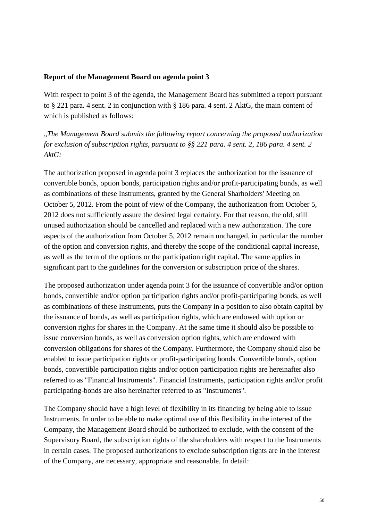# **Report of the Management Board on agenda point 3**

With respect to point 3 of the agenda, the Management Board has submitted a report pursuant to § 221 para. 4 sent. 2 in conjunction with § 186 para. 4 sent. 2 AktG, the main content of which is published as follows:

"*The Management Board submits the following report concerning the proposed authorization for exclusion of subscription rights, pursuant to §§ 221 para. 4 sent. 2, 186 para. 4 sent. 2 AktG:* 

The authorization proposed in agenda point 3 replaces the authorization for the issuance of convertible bonds, option bonds, participation rights and/or profit-participating bonds, as well as combinations of these Instruments, granted by the General Sharholders' Meeting on October 5, 2012. From the point of view of the Company, the authorization from October 5, 2012 does not sufficiently assure the desired legal certainty. For that reason, the old, still unused authorization should be cancelled and replaced with a new authorization. The core aspects of the authorization from October 5, 2012 remain unchanged, in particular the number of the option and conversion rights, and thereby the scope of the conditional capital increase, as well as the term of the options or the participation right capital. The same applies in significant part to the guidelines for the conversion or subscription price of the shares.

The proposed authorization under agenda point 3 for the issuance of convertible and/or option bonds, convertible and/or option participation rights and/or profit-participating bonds, as well as combinations of these Instruments, puts the Company in a position to also obtain capital by the issuance of bonds, as well as participation rights, which are endowed with option or conversion rights for shares in the Company. At the same time it should also be possible to issue conversion bonds, as well as conversion option rights, which are endowed with conversion obligations for shares of the Company. Furthermore, the Company should also be enabled to issue participation rights or profit-participating bonds. Convertible bonds, option bonds, convertible participation rights and/or option participation rights are hereinafter also referred to as "Financial Instruments". Financial Instruments, participation rights and/or profit participating-bonds are also hereinafter referred to as "Instruments".

The Company should have a high level of flexibility in its financing by being able to issue Instruments. In order to be able to make optimal use of this flexibility in the interest of the Company, the Management Board should be authorized to exclude, with the consent of the Supervisory Board, the subscription rights of the shareholders with respect to the Instruments in certain cases. The proposed authorizations to exclude subscription rights are in the interest of the Company, are necessary, appropriate and reasonable. In detail: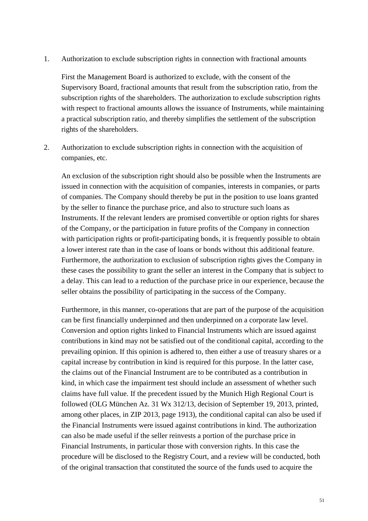1. Authorization to exclude subscription rights in connection with fractional amounts

First the Management Board is authorized to exclude, with the consent of the Supervisory Board, fractional amounts that result from the subscription ratio, from the subscription rights of the shareholders. The authorization to exclude subscription rights with respect to fractional amounts allows the issuance of Instruments, while maintaining a practical subscription ratio, and thereby simplifies the settlement of the subscription rights of the shareholders.

2. Authorization to exclude subscription rights in connection with the acquisition of companies, etc.

An exclusion of the subscription right should also be possible when the Instruments are issued in connection with the acquisition of companies, interests in companies, or parts of companies. The Company should thereby be put in the position to use loans granted by the seller to finance the purchase price, and also to structure such loans as Instruments. If the relevant lenders are promised convertible or option rights for shares of the Company, or the participation in future profits of the Company in connection with participation rights or profit-participating bonds, it is frequently possible to obtain a lower interest rate than in the case of loans or bonds without this additional feature. Furthermore, the authorization to exclusion of subscription rights gives the Company in these cases the possibility to grant the seller an interest in the Company that is subject to a delay. This can lead to a reduction of the purchase price in our experience, because the seller obtains the possibility of participating in the success of the Company.

Furthermore, in this manner, co-operations that are part of the purpose of the acquisition can be first financially underpinned and then underpinned on a corporate law level. Conversion and option rights linked to Financial Instruments which are issued against contributions in kind may not be satisfied out of the conditional capital, according to the prevailing opinion. If this opinion is adhered to, then either a use of treasury shares or a capital increase by contribution in kind is required for this purpose. In the latter case, the claims out of the Financial Instrument are to be contributed as a contribution in kind, in which case the impairment test should include an assessment of whether such claims have full value. If the precedent issued by the Munich High Regional Court is followed (OLG München Az. 31 Wx 312/13, decision of September 19, 2013, printed, among other places, in ZIP 2013, page 1913), the conditional capital can also be used if the Financial Instruments were issued against contributions in kind. The authorization can also be made useful if the seller reinvests a portion of the purchase price in Financial Instruments, in particular those with conversion rights. In this case the procedure will be disclosed to the Registry Court, and a review will be conducted, both of the original transaction that constituted the source of the funds used to acquire the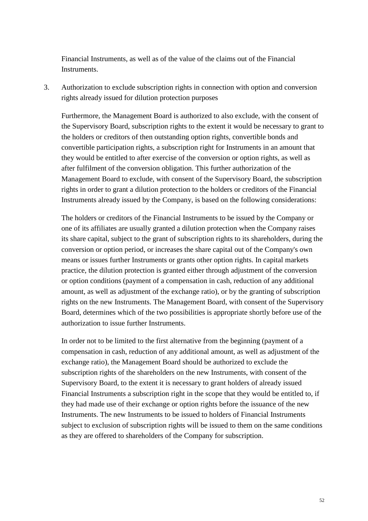Financial Instruments, as well as of the value of the claims out of the Financial Instruments.

3. Authorization to exclude subscription rights in connection with option and conversion rights already issued for dilution protection purposes

Furthermore, the Management Board is authorized to also exclude, with the consent of the Supervisory Board, subscription rights to the extent it would be necessary to grant to the holders or creditors of then outstanding option rights, convertible bonds and convertible participation rights, a subscription right for Instruments in an amount that they would be entitled to after exercise of the conversion or option rights, as well as after fulfilment of the conversion obligation. This further authorization of the Management Board to exclude, with consent of the Supervisory Board, the subscription rights in order to grant a dilution protection to the holders or creditors of the Financial Instruments already issued by the Company, is based on the following considerations:

The holders or creditors of the Financial Instruments to be issued by the Company or one of its affiliates are usually granted a dilution protection when the Company raises its share capital, subject to the grant of subscription rights to its shareholders, during the conversion or option period, or increases the share capital out of the Company's own means or issues further Instruments or grants other option rights. In capital markets practice, the dilution protection is granted either through adjustment of the conversion or option conditions (payment of a compensation in cash, reduction of any additional amount, as well as adjustment of the exchange ratio), or by the granting of subscription rights on the new Instruments. The Management Board, with consent of the Supervisory Board, determines which of the two possibilities is appropriate shortly before use of the authorization to issue further Instruments.

In order not to be limited to the first alternative from the beginning (payment of a compensation in cash, reduction of any additional amount, as well as adjustment of the exchange ratio), the Management Board should be authorized to exclude the subscription rights of the shareholders on the new Instruments, with consent of the Supervisory Board, to the extent it is necessary to grant holders of already issued Financial Instruments a subscription right in the scope that they would be entitled to, if they had made use of their exchange or option rights before the issuance of the new Instruments. The new Instruments to be issued to holders of Financial Instruments subject to exclusion of subscription rights will be issued to them on the same conditions as they are offered to shareholders of the Company for subscription.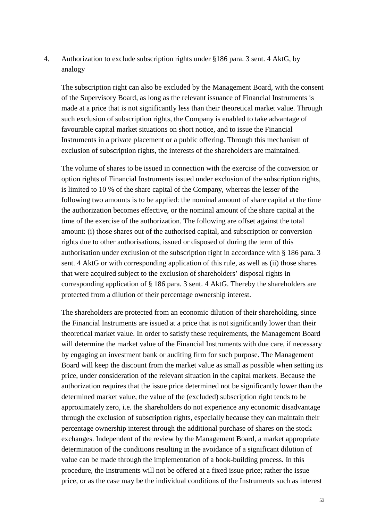4. Authorization to exclude subscription rights under §186 para. 3 sent. 4 AktG, by analogy

The subscription right can also be excluded by the Management Board, with the consent of the Supervisory Board, as long as the relevant issuance of Financial Instruments is made at a price that is not significantly less than their theoretical market value. Through such exclusion of subscription rights, the Company is enabled to take advantage of favourable capital market situations on short notice, and to issue the Financial Instruments in a private placement or a public offering. Through this mechanism of exclusion of subscription rights, the interests of the shareholders are maintained.

The volume of shares to be issued in connection with the exercise of the conversion or option rights of Financial Instruments issued under exclusion of the subscription rights, is limited to 10 % of the share capital of the Company, whereas the lesser of the following two amounts is to be applied: the nominal amount of share capital at the time the authorization becomes effective, or the nominal amount of the share capital at the time of the exercise of the authorization. The following are offset against the total amount: (i) those shares out of the authorised capital, and subscription or conversion rights due to other authorisations, issued or disposed of during the term of this authorisation under exclusion of the subscription right in accordance with § 186 para. 3 sent. 4 AktG or with corresponding application of this rule, as well as (ii) those shares that were acquired subject to the exclusion of shareholders' disposal rights in corresponding application of § 186 para. 3 sent. 4 AktG. Thereby the shareholders are protected from a dilution of their percentage ownership interest.

The shareholders are protected from an economic dilution of their shareholding, since the Financial Instruments are issued at a price that is not significantly lower than their theoretical market value. In order to satisfy these requirements, the Management Board will determine the market value of the Financial Instruments with due care, if necessary by engaging an investment bank or auditing firm for such purpose. The Management Board will keep the discount from the market value as small as possible when setting its price, under consideration of the relevant situation in the capital markets. Because the authorization requires that the issue price determined not be significantly lower than the determined market value, the value of the (excluded) subscription right tends to be approximately zero, i.e. the shareholders do not experience any economic disadvantage through the exclusion of subscription rights, especially because they can maintain their percentage ownership interest through the additional purchase of shares on the stock exchanges. Independent of the review by the Management Board, a market appropriate determination of the conditions resulting in the avoidance of a significant dilution of value can be made through the implementation of a book-building process. In this procedure, the Instruments will not be offered at a fixed issue price; rather the issue price, or as the case may be the individual conditions of the Instruments such as interest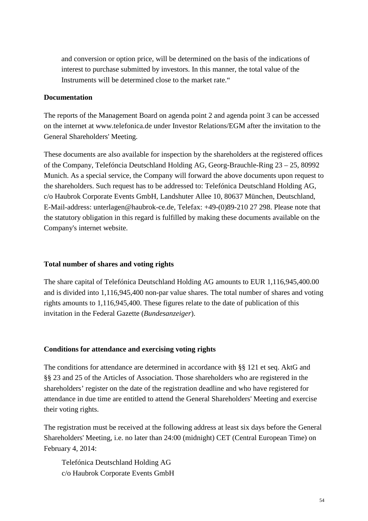and conversion or option price, will be determined on the basis of the indications of interest to purchase submitted by investors. In this manner, the total value of the Instruments will be determined close to the market rate."

# **Documentation**

The reports of the Management Board on agenda point 2 and agenda point 3 can be accessed on the internet at www.telefonica.de under Investor Relations/EGM after the invitation to the General Shareholders' Meeting.

These documents are also available for inspection by the shareholders at the registered offices of the Company, Telefóncia Deutschland Holding AG, Georg-Brauchle-Ring 23 – 25, 80992 Munich. As a special service, the Company will forward the above documents upon request to the shareholders. Such request has to be addressed to: Telefónica Deutschland Holding AG, c/o Haubrok Corporate Events GmbH, Landshuter Allee 10, 80637 München, Deutschland, E-Mail-address: unterlagen@haubrok-ce.de, Telefax: +49-(0)89-210 27 298. Please note that the statutory obligation in this regard is fulfilled by making these documents available on the Company's internet website.

## **Total number of shares and voting rights**

The share capital of Telefónica Deutschland Holding AG amounts to EUR 1,116,945,400.00 and is divided into 1,116,945,400 non-par value shares. The total number of shares and voting rights amounts to 1,116,945,400. These figures relate to the date of publication of this invitation in the Federal Gazette (*Bundesanzeiger*).

### **Conditions for attendance and exercising voting rights**

The conditions for attendance are determined in accordance with §§ 121 et seq. AktG and §§ 23 and 25 of the Articles of Association. Those shareholders who are registered in the shareholders' register on the date of the registration deadline and who have registered for attendance in due time are entitled to attend the General Shareholders' Meeting and exercise their voting rights.

The registration must be received at the following address at least six days before the General Shareholders' Meeting, i.e. no later than 24:00 (midnight) CET (Central European Time) on February 4, 2014:

Telefónica Deutschland Holding AG c/o Haubrok Corporate Events GmbH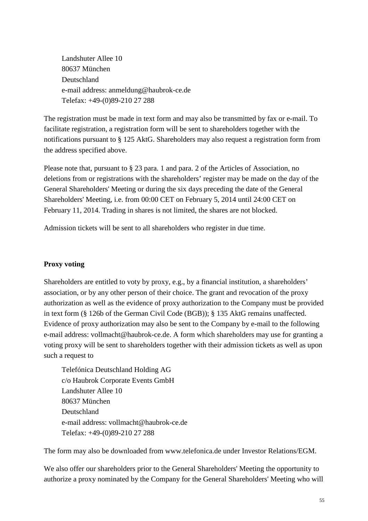Landshuter Allee 10 80637 München Deutschland e-mail address: anmeldung@haubrok-ce.de Telefax: +49-(0)89-210 27 288

The registration must be made in text form and may also be transmitted by fax or e-mail. To facilitate registration, a registration form will be sent to shareholders together with the notifications pursuant to § 125 AktG. Shareholders may also request a registration form from the address specified above.

Please note that, pursuant to § 23 para. 1 and para. 2 of the Articles of Association, no deletions from or registrations with the shareholders' register may be made on the day of the General Shareholders' Meeting or during the six days preceding the date of the General Shareholders' Meeting, i.e. from 00:00 CET on February 5, 2014 until 24:00 CET on February 11, 2014. Trading in shares is not limited, the shares are not blocked.

Admission tickets will be sent to all shareholders who register in due time.

# **Proxy voting**

Shareholders are entitled to voty by proxy, e.g., by a financial institution, a shareholders' association, or by any other person of their choice. The grant and revocation of the proxy authorization as well as the evidence of proxy authorization to the Company must be provided in text form (§ 126b of the German Civil Code (BGB)); § 135 AktG remains unaffected. Evidence of proxy authorization may also be sent to the Company by e-mail to the following e-mail address: vollmacht@haubrok-ce.de. A form which shareholders may use for granting a voting proxy will be sent to shareholders together with their admission tickets as well as upon such a request to

Telefónica Deutschland Holding AG c/o Haubrok Corporate Events GmbH Landshuter Allee 10 80637 München Deutschland e-mail address: vollmacht@haubrok-ce.de Telefax: +49-(0)89-210 27 288

The form may also be downloaded from www.telefonica.de under Investor Relations/EGM.

We also offer our shareholders prior to the General Shareholders' Meeting the opportunity to authorize a proxy nominated by the Company for the General Shareholders' Meeting who will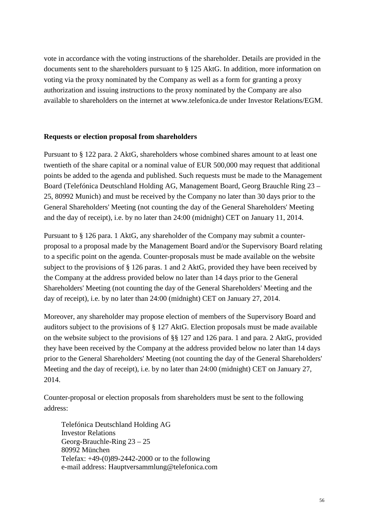vote in accordance with the voting instructions of the shareholder. Details are provided in the documents sent to the shareholders pursuant to § 125 AktG. In addition, more information on voting via the proxy nominated by the Company as well as a form for granting a proxy authorization and issuing instructions to the proxy nominated by the Company are also available to shareholders on the internet at www.telefonica.de under Investor Relations/EGM.

### **Requests or election proposal from shareholders**

Pursuant to § 122 para. 2 AktG, shareholders whose combined shares amount to at least one twentieth of the share capital or a nominal value of EUR 500,000 may request that additional points be added to the agenda and published. Such requests must be made to the Management Board (Telefónica Deutschland Holding AG, Management Board, Georg Brauchle Ring 23 – 25, 80992 Munich) and must be received by the Company no later than 30 days prior to the General Shareholders' Meeting (not counting the day of the General Shareholders' Meeting and the day of receipt), i.e. by no later than 24:00 (midnight) CET on January 11, 2014.

Pursuant to § 126 para. 1 AktG, any shareholder of the Company may submit a counterproposal to a proposal made by the Management Board and/or the Supervisory Board relating to a specific point on the agenda. Counter-proposals must be made available on the website subject to the provisions of § 126 paras. 1 and 2 AktG, provided they have been received by the Company at the address provided below no later than 14 days prior to the General Shareholders' Meeting (not counting the day of the General Shareholders' Meeting and the day of receipt), i.e. by no later than 24:00 (midnight) CET on January 27, 2014.

Moreover, any shareholder may propose election of members of the Supervisory Board and auditors subject to the provisions of § 127 AktG. Election proposals must be made available on the website subject to the provisions of §§ 127 and 126 para. 1 and para. 2 AktG, provided they have been received by the Company at the address provided below no later than 14 days prior to the General Shareholders' Meeting (not counting the day of the General Shareholders' Meeting and the day of receipt), i.e. by no later than 24:00 (midnight) CET on January 27, 2014.

Counter-proposal or election proposals from shareholders must be sent to the following address:

Telefónica Deutschland Holding AG Investor Relations Georg-Brauchle-Ring 23 – 25 80992 München Telefax: +49-(0)89-2442-2000 or to the following e-mail address: Hauptversammlung@telefonica.com